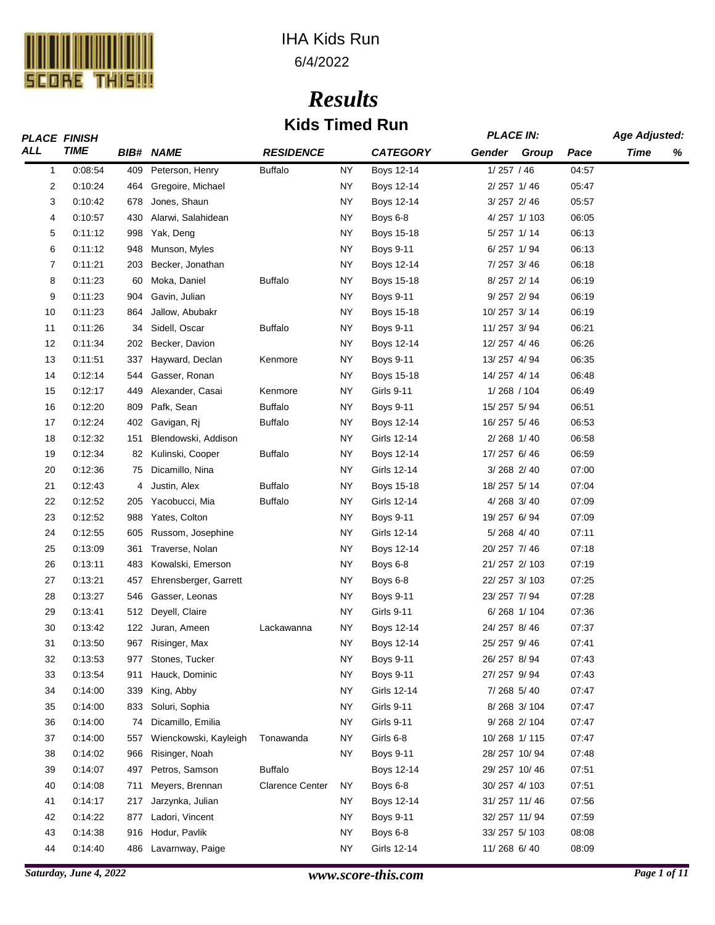

# IHA Kids Run

| 6/4/2022 |
|----------|
|----------|

# *Results* **Kids Timed Run**

|                | <b>PLACE FINISH</b> |     |                       |                        |           |                   | <b>PLACE IN:</b> |               |       | <b>Age Adjusted:</b> |   |
|----------------|---------------------|-----|-----------------------|------------------------|-----------|-------------------|------------------|---------------|-------|----------------------|---|
| <b>ALL</b>     | <b>TIME</b>         |     | <b>BIB# NAME</b>      | <b>RESIDENCE</b>       |           | <b>CATEGORY</b>   | Gender           | Group         | Pace  | Time                 | % |
| $\mathbf{1}$   | 0:08:54             | 409 | Peterson, Henry       | <b>Buffalo</b>         | <b>NY</b> | <b>Boys 12-14</b> | 1/257 / 46       |               | 04:57 |                      |   |
| $\overline{2}$ | 0:10:24             | 464 | Gregoire, Michael     |                        | NY.       | Boys 12-14        | 2/257 1/46       |               | 05:47 |                      |   |
| 3              | 0:10:42             | 678 | Jones, Shaun          |                        | <b>NY</b> | Boys 12-14        | 3/257 2/46       |               | 05:57 |                      |   |
| 4              | 0:10:57             | 430 | Alarwi, Salahidean    |                        | ΝY        | Boys 6-8          |                  | 4/257 1/103   | 06:05 |                      |   |
| 5              | 0:11:12             | 998 | Yak, Deng             |                        | ΝY        | Boys 15-18        | 5/257 1/14       |               | 06:13 |                      |   |
| 6              | 0:11:12             | 948 | Munson, Myles         |                        | <b>NY</b> | <b>Boys 9-11</b>  | $6/257$ 1/94     |               | 06:13 |                      |   |
| 7              | 0:11:21             | 203 | Becker, Jonathan      |                        | <b>NY</b> | Boys 12-14        | 7/257 3/46       |               | 06:18 |                      |   |
| 8              | 0:11:23             | 60  | Moka, Daniel          | <b>Buffalo</b>         | <b>NY</b> | Boys 15-18        | 8/257 2/14       |               | 06:19 |                      |   |
| 9              | 0:11:23             | 904 | Gavin, Julian         |                        | ΝY        | <b>Boys 9-11</b>  | 9/257 2/94       |               | 06:19 |                      |   |
| 10             | 0:11:23             | 864 | Jallow, Abubakr       |                        | <b>NY</b> | Boys 15-18        | 10/257 3/14      |               | 06:19 |                      |   |
| 11             | 0:11:26             | 34  | Sidell, Oscar         | <b>Buffalo</b>         | ΝY        | <b>Boys 9-11</b>  | 11/257 3/94      |               | 06:21 |                      |   |
| 12             | 0:11:34             | 202 | Becker, Davion        |                        | ΝY        | Boys 12-14        | 12/257 4/46      |               | 06:26 |                      |   |
| 13             | 0:11:51             | 337 | Hayward, Declan       | Kenmore                | ΝY        | <b>Boys 9-11</b>  | 13/257 4/94      |               | 06:35 |                      |   |
| 14             | 0:12:14             | 544 | Gasser, Ronan         |                        | <b>NY</b> | Boys 15-18        | 14/257 4/14      |               | 06:48 |                      |   |
| 15             | 0:12:17             | 449 | Alexander, Casai      | Kenmore                | ΝY        | <b>Girls 9-11</b> | 1/268 / 104      |               | 06:49 |                      |   |
| 16             | 0:12:20             | 809 | Pafk, Sean            | <b>Buffalo</b>         | ΝY        | <b>Boys 9-11</b>  | 15/257 5/94      |               | 06:51 |                      |   |
| 17             | 0:12:24             | 402 | Gavigan, Rj           | <b>Buffalo</b>         | ΝY        | Boys 12-14        | 16/257 5/46      |               | 06:53 |                      |   |
| 18             | 0:12:32             | 151 | Blendowski, Addison   |                        | <b>NY</b> | Girls 12-14       | 2/268 1/40       |               | 06:58 |                      |   |
| 19             | 0:12:34             | 82  | Kulinski, Cooper      | <b>Buffalo</b>         | ΝY        | Boys 12-14        | 17/257 6/46      |               | 06:59 |                      |   |
| 20             | 0:12:36             | 75  | Dicamillo, Nina       |                        | ΝY        | Girls 12-14       | 3/268 2/40       |               | 07:00 |                      |   |
| 21             | 0:12:43             | 4   | Justin, Alex          | <b>Buffalo</b>         | ΝY        | Boys 15-18        | 18/257 5/14      |               | 07:04 |                      |   |
| 22             | 0:12:52             | 205 | Yacobucci, Mia        | <b>Buffalo</b>         | <b>NY</b> | Girls 12-14       | 4/268 3/40       |               | 07:09 |                      |   |
| 23             | 0:12:52             | 988 | Yates, Colton         |                        | NY        | Boys 9-11         | 19/257 6/94      |               | 07:09 |                      |   |
| 24             | 0:12:55             | 605 | Russom, Josephine     |                        | ΝY        | Girls 12-14       | 5/268 4/40       |               | 07:11 |                      |   |
| 25             | 0:13:09             | 361 | Traverse, Nolan       |                        | ΝY        | Boys 12-14        | 20/257 7/46      |               | 07:18 |                      |   |
| 26             | 0:13:11             | 483 | Kowalski, Emerson     |                        | <b>NY</b> | Boys 6-8          | 21/257 2/103     |               | 07:19 |                      |   |
| 27             | 0:13:21             | 457 | Ehrensberger, Garrett |                        | ΝY        | Boys 6-8          | 22/257 3/103     |               | 07:25 |                      |   |
| 28             | 0:13:27             | 546 | Gasser, Leonas        |                        | ΝY        | <b>Boys 9-11</b>  | 23/257 7/94      |               | 07:28 |                      |   |
| 29             | 0:13:41             | 512 | Deyell, Claire        |                        | <b>NY</b> | Girls 9-11        |                  | $6/268$ 1/104 | 07:36 |                      |   |
| 30             | 0:13:42             | 122 | Juran, Ameen          | Lackawanna             | <b>NY</b> | Boys 12-14        | 24/257 8/46      |               | 07:37 |                      |   |
| 31             | 0:13:50             | 967 | Risinger, Max         |                        | NY        | Boys 12-14        | 25/257 9/46      |               | 07:41 |                      |   |
| 32             | 0:13:53             | 977 | Stones, Tucker        |                        | NY        | <b>Boys 9-11</b>  | 26/257 8/94      |               | 07:43 |                      |   |
| 33             | 0:13:54             | 911 | Hauck, Dominic        |                        | NY        | Boys 9-11         | 27/257 9/94      |               | 07:43 |                      |   |
| 34             | 0:14:00             | 339 | King, Abby            |                        | NY        | Girls 12-14       | 7/268 5/40       |               | 07:47 |                      |   |
| 35             | 0:14:00             | 833 | Soluri, Sophia        |                        | <b>NY</b> | Girls 9-11        |                  | 8/268 3/104   | 07:47 |                      |   |
| 36             | 0.14:00             | 74  | Dicamillo, Emilia     |                        | <b>NY</b> | Girls 9-11        |                  | 9/268 2/104   | 07:47 |                      |   |
| 37             | 0:14:00             | 557 | Wienckowski, Kayleigh | Tonawanda              | <b>NY</b> | Girls 6-8         | 10/268 1/115     |               | 07:47 |                      |   |
| 38             | 0:14:02             | 966 | Risinger, Noah        |                        | NY        | <b>Boys 9-11</b>  | 28/257 10/94     |               | 07:48 |                      |   |
| 39             | 0:14:07             | 497 | Petros, Samson        | <b>Buffalo</b>         |           | Boys 12-14        | 29/257 10/46     |               | 07:51 |                      |   |
| 40             | 0:14:08             | 711 | Meyers, Brennan       | <b>Clarence Center</b> | <b>NY</b> | Boys 6-8          | 30/257 4/103     |               | 07:51 |                      |   |
| 41             | 0:14:17             | 217 | Jarzynka, Julian      |                        | NY        | Boys 12-14        | 31/257 11/46     |               | 07:56 |                      |   |
| 42             | 0:14:22             | 877 | Ladori, Vincent       |                        | NY        | <b>Boys 9-11</b>  | 32/257 11/94     |               | 07:59 |                      |   |
| 43             | 0:14:38             | 916 | Hodur, Pavlik         |                        | <b>NY</b> | Boys 6-8          | 33/257 5/103     |               | 08:08 |                      |   |
| 44             | 0:14:40             | 486 | Lavarnway, Paige      |                        | <b>NY</b> | Girls 12-14       | 11/268 6/40      |               | 08:09 |                      |   |
|                |                     |     |                       |                        |           |                   |                  |               |       |                      |   |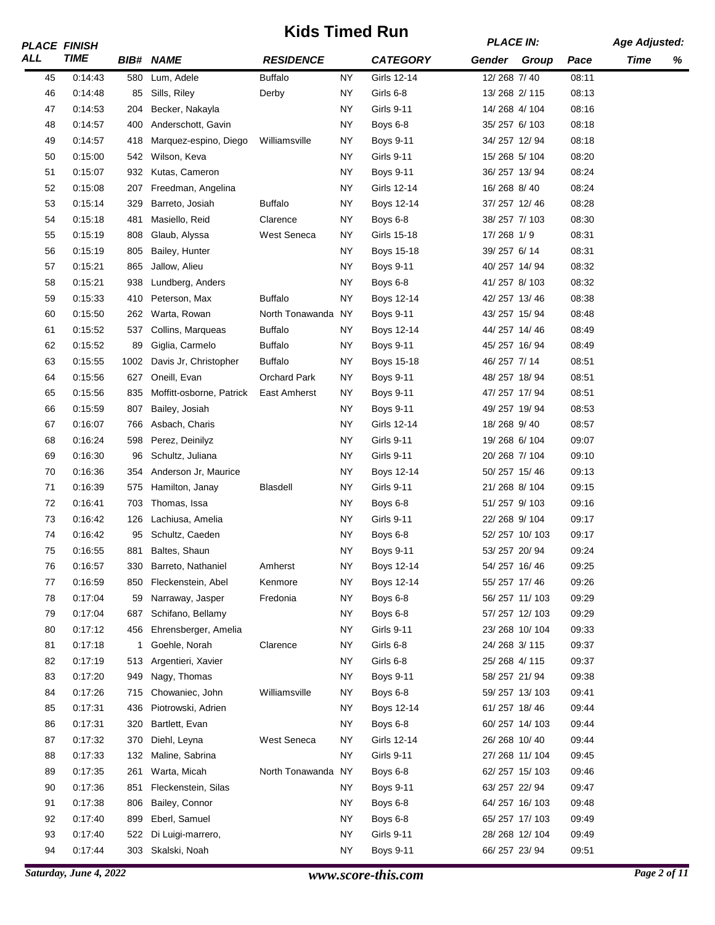|     | <b>PLACE FINISH</b> |      |                          | NIUS TIIIIGU NUIT  |           |                   | <b>PLACE IN:</b> |               |       | <b>Age Adjusted:</b> |   |
|-----|---------------------|------|--------------------------|--------------------|-----------|-------------------|------------------|---------------|-------|----------------------|---|
| ALL | <b>TIME</b>         |      | <b>BIB# NAME</b>         | <b>RESIDENCE</b>   |           | <b>CATEGORY</b>   | Gender Group     |               | Pace  | Time                 | % |
| 45  | 0:14:43             | 580  | Lum, Adele               | <b>Buffalo</b>     | <b>NY</b> | Girls 12-14       | 12/268 7/40      |               | 08:11 |                      |   |
| 46  | 0:14:48             | 85   | Sills, Riley             | Derby              | NY.       | Girls 6-8         | 13/268 2/115     |               | 08:13 |                      |   |
| 47  | 0:14:53             | 204  | Becker, Nakayla          |                    | <b>NY</b> | <b>Girls 9-11</b> | 14/268 4/104     |               | 08:16 |                      |   |
| 48  | 0:14:57             | 400  | Anderschott, Gavin       |                    | <b>NY</b> | Boys 6-8          | 35/257 6/103     |               | 08:18 |                      |   |
| 49  | 0:14:57             | 418  | Marquez-espino, Diego    | Williamsville      | <b>NY</b> | <b>Boys 9-11</b>  | 34/257 12/94     |               | 08:18 |                      |   |
| 50  | 0:15:00             | 542  | Wilson, Keva             |                    | <b>NY</b> | <b>Girls 9-11</b> | 15/268 5/104     |               | 08:20 |                      |   |
| 51  | 0:15:07             | 932  | Kutas, Cameron           |                    | <b>NY</b> | Boys 9-11         | 36/257 13/94     |               | 08:24 |                      |   |
| 52  | 0:15:08             | 207  | Freedman, Angelina       |                    | <b>NY</b> | Girls 12-14       | 16/268 8/40      |               | 08:24 |                      |   |
| 53  | 0.15.14             | 329  | Barreto, Josiah          | <b>Buffalo</b>     | <b>NY</b> | Boys 12-14        | 37/257 12/46     |               | 08:28 |                      |   |
| 54  | 0:15:18             | 481  | Masiello, Reid           | Clarence           | <b>NY</b> | Boys 6-8          | 38/257 7/103     |               | 08:30 |                      |   |
| 55  | 0:15:19             | 808  | Glaub, Alyssa            | West Seneca        | <b>NY</b> | Girls 15-18       | 17/268 1/9       |               | 08:31 |                      |   |
| 56  | 0:15:19             | 805  | Bailey, Hunter           |                    | <b>NY</b> | Boys 15-18        | 39/257 6/14      |               | 08:31 |                      |   |
| 57  | 0:15:21             | 865  | Jallow, Alieu            |                    | <b>NY</b> | <b>Boys 9-11</b>  | 40/257 14/94     |               | 08:32 |                      |   |
| 58  | 0:15.21             | 938  | Lundberg, Anders         |                    | <b>NY</b> | Boys 6-8          | 41/257 8/103     |               | 08:32 |                      |   |
| 59  | 0:15:33             | 410  | Peterson, Max            | <b>Buffalo</b>     | <b>NY</b> | Boys 12-14        | 42/257 13/46     |               | 08:38 |                      |   |
| 60  | 0:15:50             | 262  | Warta, Rowan             | North Tonawanda NY |           | <b>Boys 9-11</b>  | 43/257 15/94     |               | 08:48 |                      |   |
| 61  | 0:15:52             | 537  | Collins, Marqueas        | <b>Buffalo</b>     | <b>NY</b> | Boys 12-14        | 44/257 14/46     |               | 08:49 |                      |   |
| 62  | 0:15:52             | 89   | Giglia, Carmelo          | <b>Buffalo</b>     | <b>NY</b> | <b>Boys 9-11</b>  | 45/257 16/94     |               | 08:49 |                      |   |
| 63  | 0:15:55             | 1002 | Davis Jr, Christopher    | <b>Buffalo</b>     | <b>NY</b> | Boys 15-18        | 46/257 7/14      |               | 08:51 |                      |   |
| 64  | 0:15:56             | 627  | Oneill, Evan             | Orchard Park       | <b>NY</b> | <b>Boys 9-11</b>  | 48/257 18/94     |               | 08:51 |                      |   |
| 65  | 0:15:56             | 835  | Moffitt-osborne, Patrick | East Amherst       | <b>NY</b> | <b>Boys 9-11</b>  | 47/257 17/94     |               | 08:51 |                      |   |
| 66  | 0:15:59             | 807  | Bailey, Josiah           |                    | NY.       | <b>Boys 9-11</b>  | 49/257 19/94     |               | 08:53 |                      |   |
| 67  | 0:16:07             | 766  | Asbach, Charis           |                    | <b>NY</b> | Girls 12-14       | 18/268 9/40      |               | 08:57 |                      |   |
| 68  | 0:16:24             | 598  | Perez, Deinilyz          |                    | <b>NY</b> | <b>Girls 9-11</b> | 19/268 6/104     |               | 09:07 |                      |   |
| 69  | 0:16:30             | 96   | Schultz, Juliana         |                    | <b>NY</b> | Girls 9-11        | 20/268 7/104     |               | 09:10 |                      |   |
| 70  | 0:16:36             | 354  | Anderson Jr, Maurice     |                    | <b>NY</b> | Boys 12-14        | 50/257 15/46     |               | 09:13 |                      |   |
| 71  | 0:16:39             | 575  | Hamilton, Janay          | <b>Blasdell</b>    | <b>NY</b> | <b>Girls 9-11</b> | 21/268 8/104     |               | 09:15 |                      |   |
| 72  | 0:16:41             | 703  | Thomas, Issa             |                    | <b>NY</b> | Boys 6-8          | 51/257 9/103     |               | 09:16 |                      |   |
| 73  | 0:16:42             | 126  | Lachiusa, Amelia         |                    | <b>NY</b> | Girls 9-11        | 22/268 9/104     |               | 09:17 |                      |   |
| 74  | 0:16:42             | 95   | Schultz, Caeden          |                    | <b>NY</b> | Boys 6-8          |                  | 52/257 10/103 | 09:17 |                      |   |
| 75  | 0:16:55             | 881  | Baltes, Shaun            |                    | ΝY        | <b>Boys 9-11</b>  | 53/257 20/94     |               | 09:24 |                      |   |
| 76  | 0:16:57             | 330  | Barreto, Nathaniel       | Amherst            | <b>NY</b> | Boys 12-14        | 54/257 16/46     |               | 09:25 |                      |   |
| 77  | 0:16:59             | 850  | Fleckenstein, Abel       | Kenmore            | <b>NY</b> | Boys 12-14        | 55/257 17/46     |               | 09:26 |                      |   |
| 78  | 0.17:04             | 59   | Narraway, Jasper         | Fredonia           | NY.       | Boys 6-8          |                  | 56/257 11/103 | 09:29 |                      |   |
| 79  | 0:17:04             | 687  | Schifano, Bellamy        |                    | <b>NY</b> | Boys 6-8          |                  | 57/257 12/103 | 09:29 |                      |   |
| 80  | 0:17:12             | 456  | Ehrensberger, Amelia     |                    | <b>NY</b> | Girls 9-11        |                  | 23/268 10/104 | 09:33 |                      |   |
| 81  | 0:17:18             | 1    | Goehle, Norah            | Clarence           | <b>NY</b> | Girls 6-8         | 24/268 3/115     |               | 09:37 |                      |   |
| 82  | 0:17:19             | 513  | Argentieri, Xavier       |                    | NY.       | Girls 6-8         | 25/268 4/115     |               | 09:37 |                      |   |
| 83  | 0:17:20             | 949  | Nagy, Thomas             |                    | NY.       | <b>Boys 9-11</b>  | 58/257 21/94     |               | 09:38 |                      |   |
| 84  | 0:17:26             | 715  | Chowaniec, John          | Williamsville      | <b>NY</b> | Boys 6-8          |                  | 59/257 13/103 | 09:41 |                      |   |
| 85  | 0:17:31             | 436  | Piotrowski, Adrien       |                    | <b>NY</b> | Boys 12-14        | 61/257 18/46     |               | 09:44 |                      |   |
| 86  | 0:17:31             | 320  | Bartlett, Evan           |                    | NY.       | Boys 6-8          |                  | 60/257 14/103 | 09:44 |                      |   |
| 87  | 0:17:32             | 370  | Diehl, Leyna             | West Seneca        | <b>NY</b> | Girls 12-14       | 26/268 10/40     |               | 09:44 |                      |   |
| 88  | 0:17:33             | 132  | Maline, Sabrina          |                    | <b>NY</b> | Girls 9-11        |                  | 27/268 11/104 | 09:45 |                      |   |
| 89  | 0:17:35             | 261  | Warta, Micah             | North Tonawanda NY |           | Boys 6-8          |                  | 62/257 15/103 | 09:46 |                      |   |
| 90  | 0:17:36             | 851  | Fleckenstein, Silas      |                    | NY.       | <b>Boys 9-11</b>  | 63/257 22/94     |               | 09:47 |                      |   |
| 91  | 0:17:38             | 806  | Bailey, Connor           |                    | NY.       | Boys 6-8          |                  | 64/257 16/103 | 09:48 |                      |   |
| 92  | 0:17:40             | 899  | Eberl, Samuel            |                    | <b>NY</b> | Boys 6-8          |                  | 65/257 17/103 | 09:49 |                      |   |
| 93  | 0:17:40             | 522  | Di Luigi-marrero,        |                    | <b>NY</b> | Girls 9-11        |                  | 28/268 12/104 | 09:49 |                      |   |
| 94  | 0:17:44             | 303  | Skalski, Noah            |                    | <b>NY</b> | <b>Boys 9-11</b>  | 66/257 23/94     |               | 09:51 |                      |   |
|     |                     |      |                          |                    |           |                   |                  |               |       |                      |   |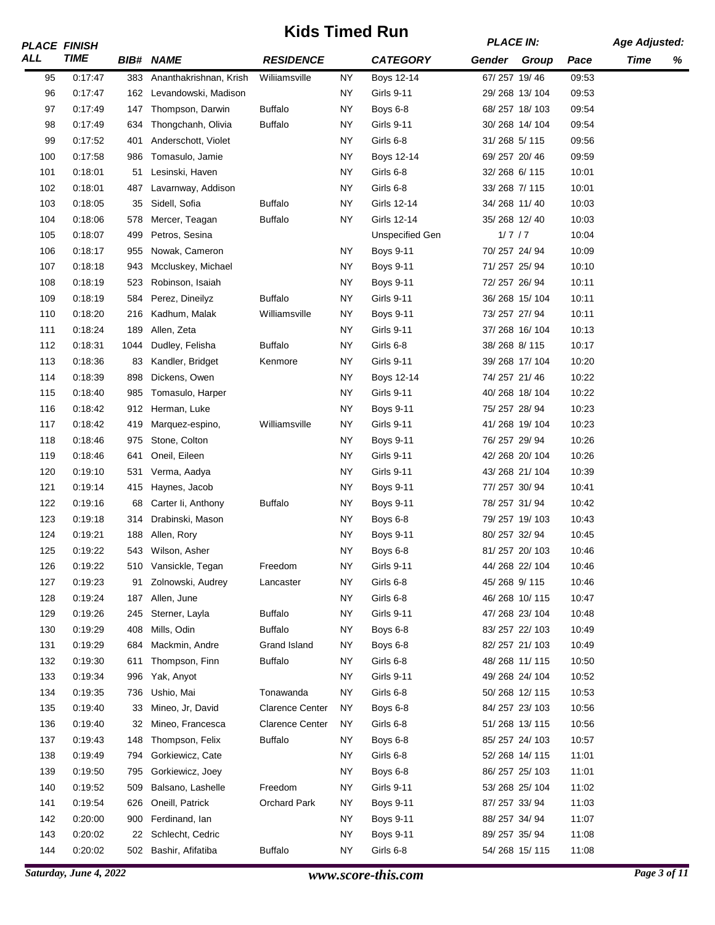|     | <b>PLACE FINISH</b>    |      |                        | NIUS TIIIIGU NUIT      |           |                        | <b>PLACE IN:</b> |               |       | <b>Age Adjusted:</b> |   |
|-----|------------------------|------|------------------------|------------------------|-----------|------------------------|------------------|---------------|-------|----------------------|---|
| ALL | <b>TIME</b>            |      | <b>BIB# NAME</b>       | <b>RESIDENCE</b>       |           | <b>CATEGORY</b>        | Gender Group     |               | Pace  | Time                 | % |
| 95  | 0:17:47                | 383  | Ananthakrishnan, Krish | Wiliiamsville          | <b>NY</b> | <b>Boys 12-14</b>      | 67/257 19/46     |               | 09:53 |                      |   |
| 96  | 0:17:47                | 162  | Levandowski, Madison   |                        | <b>NY</b> | Girls 9-11             |                  | 29/268 13/104 | 09:53 |                      |   |
| 97  | 0:17:49                | 147  | Thompson, Darwin       | <b>Buffalo</b>         | <b>NY</b> | Boys 6-8               |                  | 68/257 18/103 | 09:54 |                      |   |
| 98  | 0:17:49                | 634  | Thongchanh, Olivia     | <b>Buffalo</b>         | <b>NY</b> | <b>Girls 9-11</b>      |                  | 30/268 14/104 | 09:54 |                      |   |
| 99  | 0.17:52                | 401  | Anderschott, Violet    |                        | <b>NY</b> | Girls 6-8              | 31/268 5/115     |               | 09:56 |                      |   |
| 100 | 0:17:58                | 986  | Tomasulo, Jamie        |                        | <b>NY</b> | Boys 12-14             | 69/257 20/46     |               | 09:59 |                      |   |
| 101 | 0.18.01                | 51   | Lesinski, Haven        |                        | <b>NY</b> | Girls 6-8              | 32/268 6/115     |               | 10:01 |                      |   |
| 102 | 0:18:01                | 487  | Lavarnway, Addison     |                        | <b>NY</b> | Girls 6-8              | 33/268 7/115     |               | 10:01 |                      |   |
| 103 | 0:18:05                | 35   | Sidell, Sofia          | <b>Buffalo</b>         | <b>NY</b> | Girls 12-14            | 34/268 11/40     |               | 10:03 |                      |   |
| 104 | 0:18:06                | 578  | Mercer, Teagan         | <b>Buffalo</b>         | NY.       | Girls 12-14            | 35/268 12/40     |               | 10:03 |                      |   |
| 105 | 0:18:07                | 499  | Petros, Sesina         |                        |           | <b>Unspecified Gen</b> | 1/7/7            |               | 10:04 |                      |   |
| 106 | 0:18:17                | 955  | Nowak, Cameron         |                        | <b>NY</b> | <b>Boys 9-11</b>       | 70/257 24/94     |               | 10:09 |                      |   |
| 107 | 0:18:18                | 943  | Mccluskey, Michael     |                        | <b>NY</b> | <b>Boys 9-11</b>       | 71/257 25/94     |               | 10:10 |                      |   |
| 108 | 0:18:19                | 523  | Robinson, Isaiah       |                        | <b>NY</b> | <b>Boys 9-11</b>       | 72/257 26/94     |               | 10:11 |                      |   |
| 109 | 0:18:19                | 584  | Perez, Dineilyz        | <b>Buffalo</b>         | <b>NY</b> | <b>Girls 9-11</b>      |                  | 36/268 15/104 | 10:11 |                      |   |
| 110 | 0:18:20                | 216  | Kadhum, Malak          | Williamsville          | <b>NY</b> | <b>Boys 9-11</b>       | 73/257 27/94     |               | 10:11 |                      |   |
| 111 | 0:18:24                | 189  | Allen, Zeta            |                        | <b>NY</b> | Girls 9-11             |                  | 37/268 16/104 | 10:13 |                      |   |
| 112 | 0:18:31                | 1044 | Dudley, Felisha        | <b>Buffalo</b>         | <b>NY</b> | Girls 6-8              | 38/268 8/115     |               | 10:17 |                      |   |
| 113 | 0:18:36                | 83   | Kandler, Bridget       | Kenmore                | <b>NY</b> | <b>Girls 9-11</b>      |                  | 39/268 17/104 | 10:20 |                      |   |
| 114 | 0:18:39                | 898  | Dickens, Owen          |                        | <b>NY</b> | Boys 12-14             | 74/257 21/46     |               | 10:22 |                      |   |
| 115 | 0:18:40                | 985  | Tomasulo, Harper       |                        | <b>NY</b> | Girls 9-11             |                  | 40/268 18/104 | 10:22 |                      |   |
| 116 | 0:18:42                | 912  | Herman, Luke           |                        | <b>NY</b> | <b>Boys 9-11</b>       | 75/257 28/94     |               | 10:23 |                      |   |
|     |                        |      |                        |                        | <b>NY</b> | <b>Girls 9-11</b>      |                  |               | 10:23 |                      |   |
| 117 | 0:18:42                | 419  | Marquez-espino,        | Williamsville          |           |                        |                  | 41/268 19/104 |       |                      |   |
| 118 | 0:18:46                | 975  | Stone, Colton          |                        | <b>NY</b> | <b>Boys 9-11</b>       | 76/257 29/94     |               | 10:26 |                      |   |
| 119 | 0:18:46                | 641  | Oneil, Eileen          |                        | <b>NY</b> | Girls 9-11             |                  | 42/268 20/104 | 10:26 |                      |   |
| 120 | 0:19:10                | 531  | Verma, Aadya           |                        | <b>NY</b> | <b>Girls 9-11</b>      | 77/257 30/94     | 43/268 21/104 | 10:39 |                      |   |
| 121 | 0:19:14                | 415  | Haynes, Jacob          |                        | <b>NY</b> | <b>Boys 9-11</b>       |                  |               | 10:41 |                      |   |
| 122 | 0:19:16                | 68   | Carter Ii, Anthony     | <b>Buffalo</b>         | <b>NY</b> | <b>Boys 9-11</b>       | 78/257 31/94     |               | 10:42 |                      |   |
| 123 | 0:19:18                | 314  | Drabinski, Mason       |                        | <b>NY</b> | Boys 6-8               |                  | 79/257 19/103 | 10:43 |                      |   |
| 124 | 0:19:21                | 188  | Allen, Rory            |                        | <b>NY</b> | <b>Boys 9-11</b>       | 80/257 32/94     |               | 10:45 |                      |   |
| 125 | 0:19:22                | 543  | Wilson, Asher          |                        | <b>NY</b> | Boys 6-8               |                  | 81/257 20/103 | 10:46 |                      |   |
| 126 | 0:19:22                |      | 510 Vansickle, Tegan   | Freedom                | <b>NY</b> | <b>Girls 9-11</b>      |                  | 44/268 22/104 | 10:46 |                      |   |
| 127 | 0:19:23                | 91   | Zolnowski, Audrey      | Lancaster              | <b>NY</b> | Girls 6-8              | 45/268 9/115     |               | 10:46 |                      |   |
| 128 | 0:19:24                | 187  | Allen, June            |                        | NY.       | Girls 6-8              |                  | 46/268 10/115 | 10:47 |                      |   |
| 129 | 0:19:26                | 245  | Sterner, Layla         | <b>Buffalo</b>         | <b>NY</b> | Girls 9-11             |                  | 47/268 23/104 | 10:48 |                      |   |
| 130 | 0:19:29                | 408  | Mills, Odin            | <b>Buffalo</b>         | <b>NY</b> | Boys 6-8               |                  | 83/257 22/103 | 10:49 |                      |   |
| 131 | 0:19:29                | 684  | Mackmin, Andre         | Grand Island           | <b>NY</b> | Boys 6-8               |                  | 82/257 21/103 | 10:49 |                      |   |
| 132 | 0:19:30                | 611  | Thompson, Finn         | <b>Buffalo</b>         | NY.       | Girls 6-8              |                  | 48/268 11/115 | 10:50 |                      |   |
| 133 | 0:19:34                | 996  | Yak, Anyot             |                        | <b>NY</b> | Girls 9-11             |                  | 49/268 24/104 | 10:52 |                      |   |
| 134 | 0:19:35                | 736  | Ushio, Mai             | Tonawanda              | <b>NY</b> | Girls 6-8              |                  | 50/268 12/115 | 10:53 |                      |   |
| 135 | 0:19:40                | 33   | Mineo, Jr, David       | <b>Clarence Center</b> | NY.       | Boys 6-8               |                  | 84/257 23/103 | 10:56 |                      |   |
| 136 | 0:19:40                | 32   | Mineo, Francesca       | <b>Clarence Center</b> | NY.       | Girls 6-8              |                  | 51/268 13/115 | 10:56 |                      |   |
| 137 | 0:19:43                | 148  | Thompson, Felix        | <b>Buffalo</b>         | <b>NY</b> | Boys 6-8               |                  | 85/257 24/103 | 10:57 |                      |   |
| 138 | 0:19:49                | 794  | Gorkiewicz, Cate       |                        | <b>NY</b> | Girls 6-8              |                  | 52/268 14/115 | 11:01 |                      |   |
| 139 | 0:19:50                | 795  | Gorkiewicz, Joey       |                        | <b>NY</b> | Boys 6-8               |                  | 86/257 25/103 | 11:01 |                      |   |
| 140 | 0:19:52                | 509  | Balsano, Lashelle      | Freedom                | NY.       | <b>Girls 9-11</b>      |                  | 53/268 25/104 | 11:02 |                      |   |
| 141 | 0:19:54                | 626  | Oneill, Patrick        | Orchard Park           | NY        | <b>Boys 9-11</b>       | 87/257 33/94     |               | 11:03 |                      |   |
| 142 | 0:20:00                | 900  | Ferdinand, Ian         |                        | <b>NY</b> | <b>Boys 9-11</b>       | 88/257 34/94     |               | 11:07 |                      |   |
| 143 | 0:20:02                | 22   | Schlecht, Cedric       |                        | <b>NY</b> | <b>Boys 9-11</b>       | 89/257 35/94     |               | 11:08 |                      |   |
| 144 | 0:20:02                | 502  | Bashir, Afifatiba      | <b>Buffalo</b>         | NY.       | Girls 6-8              |                  | 54/268 15/115 | 11:08 |                      |   |
|     | Saturday, June 4, 2022 |      |                        |                        |           | www.score-this.com     |                  |               |       | Page $3$ of $11$     |   |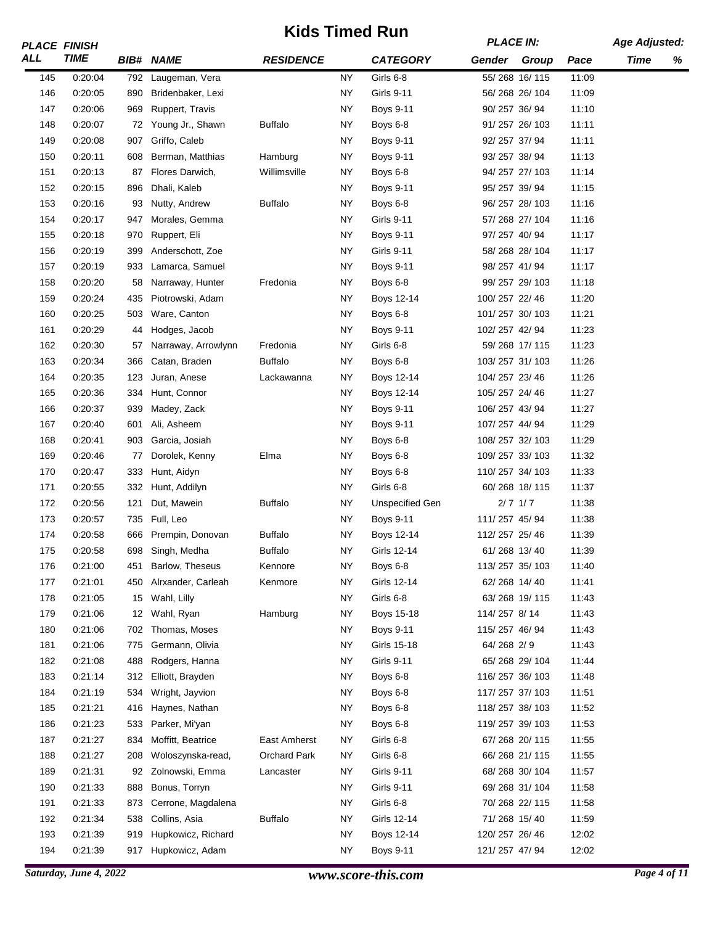| <b>TIME</b><br><b>RESIDENCE</b><br><b>CATEGORY</b><br>Gender Group<br><b>BIB# NAME</b><br>Time<br>%<br>Pace<br>55/268 16/115<br>145<br>0:20:04<br>NY<br>Girls 6-8<br>11:09<br>792<br>Laugeman, Vera<br><b>NY</b><br>146<br>0:20:05<br>890<br>Bridenbaker, Lexi<br><b>Girls 9-11</b><br>56/268 26/104<br>11:09<br>0:20:06<br>969<br>Ruppert, Travis<br><b>NY</b><br>90/257 36/94<br>11:10<br>147<br><b>Boys 9-11</b><br>0:20:07<br>Young Jr., Shawn<br><b>Buffalo</b><br>NY<br>91/257 26/103<br>11:11<br>148<br>72<br>Boys 6-8<br>0:20:08<br>Griffo, Caleb<br><b>NY</b><br>92/257 37/94<br>11:11<br>149<br>907<br><b>Boys 9-11</b><br>0.20:11<br><b>NY</b><br><b>Boys 9-11</b><br>93/257 38/94<br>11:13<br>150<br>608<br>Berman, Matthias<br>Hamburg<br>0:20:13<br>Flores Darwich,<br>NY<br>94/257 27/103<br>11:14<br>151<br>87<br>Willimsville<br>Boys 6-8<br>0:20:15<br>896<br>Dhali, Kaleb<br><b>NY</b><br>95/257 39/94<br>11:15<br>152<br><b>Boys 9-11</b><br><b>Buffalo</b><br>153<br>0:20:16<br>NY<br>96/257 28/103<br>11:16<br>93<br>Nutty, Andrew<br>Boys 6-8<br>0:20:17<br>947<br>Morales, Gemma<br><b>NY</b><br><b>Girls 9-11</b><br>57/268 27/104<br>11:16<br>154<br>0:20:18<br>NY<br>97/257 40/94<br>11:17<br>155<br>970<br>Ruppert, Eli<br><b>Boys 9-11</b><br>0:20:19<br>399<br>NY<br><b>Girls 9-11</b><br>58/268 28/104<br>11:17<br>156<br>Anderschott, Zoe<br>0:20:19<br>Lamarca, Samuel<br><b>NY</b><br><b>Boys 9-11</b><br>98/257 41/94<br>11:17<br>157<br>933<br>0:20:20<br>Narraway, Hunter<br>Fredonia<br><b>NY</b><br>99/257 29/103<br>11:18<br>158<br>58<br>Boys 6-8<br>ΝY<br>11:20<br>159<br>0:20:24<br>435<br>Piotrowski, Adam<br>Boys 12-14<br>100/257 22/46<br>0:20:25<br>Ware, Canton<br><b>NY</b><br>101/257 30/103<br>11:21<br>160<br>503<br>Boys 6-8<br>0:20:29<br><b>NY</b><br><b>Boys 9-11</b><br>102/257 42/94<br>11:23<br>161<br>Hodges, Jacob<br>44<br>162<br>0:20:30<br><b>NY</b><br>Girls 6-8<br>59/268 17/115<br>11:23<br>57<br>Narraway, Arrowlynn<br>Fredonia<br><b>Buffalo</b><br>163<br>0:20:34<br>Catan, Braden<br><b>NY</b><br>103/257 31/103<br>11:26<br>366<br>Boys 6-8<br>0:20:35<br>123<br><b>NY</b><br>104/257 23/46<br>11:26<br>164<br>Juran, Anese<br>Lackawanna<br>Boys 12-14<br>0:20:36<br>334<br>Hunt, Connor<br>NY<br>105/257 24/46<br>11:27<br>165<br>Boys 12-14<br><b>NY</b><br>0:20:37<br>939<br><b>Boys 9-11</b><br>106/257 43/94<br>11:27<br>166<br>Madey, Zack<br>0:20:40<br>NY<br>11:29<br>167<br>601<br>Ali, Asheem<br>Boys 9-11<br>107/257 44/94<br>0:20:41<br><b>NY</b><br>108/257 32/103<br>11:29<br>168<br>903<br>Garcia, Josiah<br>Boys 6-8<br>Elma<br><b>NY</b><br>109/257 33/103<br>11:32<br>169<br>0:20:46<br>Dorolek, Kenny<br>Boys 6-8<br>77<br>170<br>0:20:47<br>333<br><b>NY</b><br>Boys 6-8<br>110/257 34/103<br>11:33<br>Hunt, Aidyn<br>171<br>0:20:55<br>NY<br>Girls 6-8<br>60/268 18/115<br>11:37<br>332<br>Hunt, Addilyn<br>$2/7$ $1/7$<br>172<br>0:20:56<br>121<br>Dut, Mawein<br><b>Buffalo</b><br><b>NY</b><br><b>Unspecified Gen</b><br>11:38<br>173<br>Full, Leo<br><b>NY</b><br>111/257 45/94<br>11:38<br>0:20:57<br>735<br><b>Boys 9-11</b><br>174<br>0:20:58<br>666<br>Prempin, Donovan<br><b>Buffalo</b><br><b>NY</b><br>112/257 25/46<br>11:39<br>Boys 12-14<br>175<br>0:20:58<br>698<br><b>Buffalo</b><br>ΝY<br>61/268 13/40<br>11:39<br>Singh, Medha<br>Girls 12-14<br>0.21:00<br>Barlow, Theseus<br>Kennore<br>NY<br>113/257 35/103<br>11:40<br>176<br>Boys 6-8<br>451<br>0:21:01<br>Alrxander, Carleah<br>Kenmore<br>NY<br>Girls 12-14<br>62/268 14/40<br>11:41<br>177<br>450<br>178<br>0:21:05<br>Wahl, Lilly<br><b>NY</b><br>Girls 6-8<br>63/268 19/115<br>11:43<br>15<br>Hamburg<br>114/257 8/14<br>179<br>0:21:06<br>Wahl, Ryan<br>NΥ<br>Boys 15-18<br>11:43<br>12<br>0:21:06<br>NY<br>115/257 46/94<br>11:43<br>180<br>702<br>Thomas, Moses<br><b>Boys 9-11</b><br>0:21:06<br>Germann, Olivia<br><b>NY</b><br>Girls 15-18<br>64/268 2/9<br>11:43<br>181<br>775<br>182<br>0:21:08<br>488<br>Rodgers, Hanna<br><b>NY</b><br><b>Girls 9-11</b><br>65/268 29/104<br>11:44<br>0:21:14<br>Elliott, Brayden<br>116/257 36/103<br>11:48<br>183<br>312<br>NY<br>Boys 6-8<br>0:21:19<br>Wright, Jayvion<br>NY<br>117/257 37/103<br>11:51<br>184<br>534<br>Boys 6-8<br>NY<br>118/257 38/103<br>185<br>0.21.21<br>416<br>Haynes, Nathan<br>Boys 6-8<br>11:52<br>0:21:23<br>533<br>Parker, Mi'yan<br>NY.<br>119/257 39/103<br>11:53<br>186<br>Boys 6-8<br>NY<br>Girls 6-8<br>67/268 20/115<br>187<br>0:21:27<br>834<br>Moffitt, Beatrice<br>East Amherst<br>11:55<br>0:21:27<br><b>Orchard Park</b><br><b>NY</b><br>Girls 6-8<br>66/268 21/115<br>11:55<br>188<br>208<br>Woloszynska-read,<br>0:21:31<br>Zolnowski, Emma<br>Girls 9-11<br>68/268 30/104<br>11:57<br>189<br>92<br>NY<br>Lancaster<br>0:21:33<br>888<br>Bonus, Torryn<br><b>NY</b><br>Girls 9-11<br>69/268 31/104<br>190<br>11:58<br>0:21:33<br><b>NY</b><br>Girls 6-8<br>70/268 22/115<br>11:58<br>191<br>873<br>Cerrone, Magdalena<br><b>Buffalo</b><br>0:21:34<br>538<br>Collins, Asia<br><b>NY</b><br>Girls 12-14<br>71/268 15/40<br>11:59<br>192<br>0:21:39<br>Hupkowicz, Richard<br><b>NY</b><br>Boys 12-14<br>120/257 26/46<br>193<br>919<br>12:02<br><b>NY</b><br>194<br>0:21:39<br>917<br>Hupkowicz, Adam<br><b>Boys 9-11</b><br>121/257 47/94<br>12:02 |     | <b>PLACE FINISH</b> |  | NIUS TIIIIGU NUIT |  | <b>PLACE IN:</b> |  | <b>Age Adjusted:</b> |  |
|----------------------------------------------------------------------------------------------------------------------------------------------------------------------------------------------------------------------------------------------------------------------------------------------------------------------------------------------------------------------------------------------------------------------------------------------------------------------------------------------------------------------------------------------------------------------------------------------------------------------------------------------------------------------------------------------------------------------------------------------------------------------------------------------------------------------------------------------------------------------------------------------------------------------------------------------------------------------------------------------------------------------------------------------------------------------------------------------------------------------------------------------------------------------------------------------------------------------------------------------------------------------------------------------------------------------------------------------------------------------------------------------------------------------------------------------------------------------------------------------------------------------------------------------------------------------------------------------------------------------------------------------------------------------------------------------------------------------------------------------------------------------------------------------------------------------------------------------------------------------------------------------------------------------------------------------------------------------------------------------------------------------------------------------------------------------------------------------------------------------------------------------------------------------------------------------------------------------------------------------------------------------------------------------------------------------------------------------------------------------------------------------------------------------------------------------------------------------------------------------------------------------------------------------------------------------------------------------------------------------------------------------------------------------------------------------------------------------------------------------------------------------------------------------------------------------------------------------------------------------------------------------------------------------------------------------------------------------------------------------------------------------------------------------------------------------------------------------------------------------------------------------------------------------------------------------------------------------------------------------------------------------------------------------------------------------------------------------------------------------------------------------------------------------------------------------------------------------------------------------------------------------------------------------------------------------------------------------------------------------------------------------------------------------------------------------------------------------------------------------------------------------------------------------------------------------------------------------------------------------------------------------------------------------------------------------------------------------------------------------------------------------------------------------------------------------------------------------------------------------------------------------------------------------------------------------------------------------------------------------------------------------------------------------------------------------------------------------------------------------------------------------------------------------------------------------------------------------------------------------------------------------------------------------------------------------------------------------------------------------------------------------------------------------------------------------------------------------------------------------------------------------------------------------------------------------------------------------------------------------------------------------------------------------------------------------------------------------------------------------------------------------------------------------------------------------------------------------------------------------------------------------------------------------------------------------------------------------------------------------------------------------------------------------------------------------|-----|---------------------|--|-------------------|--|------------------|--|----------------------|--|
|                                                                                                                                                                                                                                                                                                                                                                                                                                                                                                                                                                                                                                                                                                                                                                                                                                                                                                                                                                                                                                                                                                                                                                                                                                                                                                                                                                                                                                                                                                                                                                                                                                                                                                                                                                                                                                                                                                                                                                                                                                                                                                                                                                                                                                                                                                                                                                                                                                                                                                                                                                                                                                                                                                                                                                                                                                                                                                                                                                                                                                                                                                                                                                                                                                                                                                                                                                                                                                                                                                                                                                                                                                                                                                                                                                                                                                                                                                                                                                                                                                                                                                                                                                                                                                                                                                                                                                                                                                                                                                                                                                                                                                                                                                                                                                                                                                                                                                                                                                                                                                                                                                                                                                                                                                                                                                                      | ALL |                     |  |                   |  |                  |  |                      |  |
|                                                                                                                                                                                                                                                                                                                                                                                                                                                                                                                                                                                                                                                                                                                                                                                                                                                                                                                                                                                                                                                                                                                                                                                                                                                                                                                                                                                                                                                                                                                                                                                                                                                                                                                                                                                                                                                                                                                                                                                                                                                                                                                                                                                                                                                                                                                                                                                                                                                                                                                                                                                                                                                                                                                                                                                                                                                                                                                                                                                                                                                                                                                                                                                                                                                                                                                                                                                                                                                                                                                                                                                                                                                                                                                                                                                                                                                                                                                                                                                                                                                                                                                                                                                                                                                                                                                                                                                                                                                                                                                                                                                                                                                                                                                                                                                                                                                                                                                                                                                                                                                                                                                                                                                                                                                                                                                      |     |                     |  |                   |  |                  |  |                      |  |
|                                                                                                                                                                                                                                                                                                                                                                                                                                                                                                                                                                                                                                                                                                                                                                                                                                                                                                                                                                                                                                                                                                                                                                                                                                                                                                                                                                                                                                                                                                                                                                                                                                                                                                                                                                                                                                                                                                                                                                                                                                                                                                                                                                                                                                                                                                                                                                                                                                                                                                                                                                                                                                                                                                                                                                                                                                                                                                                                                                                                                                                                                                                                                                                                                                                                                                                                                                                                                                                                                                                                                                                                                                                                                                                                                                                                                                                                                                                                                                                                                                                                                                                                                                                                                                                                                                                                                                                                                                                                                                                                                                                                                                                                                                                                                                                                                                                                                                                                                                                                                                                                                                                                                                                                                                                                                                                      |     |                     |  |                   |  |                  |  |                      |  |
|                                                                                                                                                                                                                                                                                                                                                                                                                                                                                                                                                                                                                                                                                                                                                                                                                                                                                                                                                                                                                                                                                                                                                                                                                                                                                                                                                                                                                                                                                                                                                                                                                                                                                                                                                                                                                                                                                                                                                                                                                                                                                                                                                                                                                                                                                                                                                                                                                                                                                                                                                                                                                                                                                                                                                                                                                                                                                                                                                                                                                                                                                                                                                                                                                                                                                                                                                                                                                                                                                                                                                                                                                                                                                                                                                                                                                                                                                                                                                                                                                                                                                                                                                                                                                                                                                                                                                                                                                                                                                                                                                                                                                                                                                                                                                                                                                                                                                                                                                                                                                                                                                                                                                                                                                                                                                                                      |     |                     |  |                   |  |                  |  |                      |  |
|                                                                                                                                                                                                                                                                                                                                                                                                                                                                                                                                                                                                                                                                                                                                                                                                                                                                                                                                                                                                                                                                                                                                                                                                                                                                                                                                                                                                                                                                                                                                                                                                                                                                                                                                                                                                                                                                                                                                                                                                                                                                                                                                                                                                                                                                                                                                                                                                                                                                                                                                                                                                                                                                                                                                                                                                                                                                                                                                                                                                                                                                                                                                                                                                                                                                                                                                                                                                                                                                                                                                                                                                                                                                                                                                                                                                                                                                                                                                                                                                                                                                                                                                                                                                                                                                                                                                                                                                                                                                                                                                                                                                                                                                                                                                                                                                                                                                                                                                                                                                                                                                                                                                                                                                                                                                                                                      |     |                     |  |                   |  |                  |  |                      |  |
|                                                                                                                                                                                                                                                                                                                                                                                                                                                                                                                                                                                                                                                                                                                                                                                                                                                                                                                                                                                                                                                                                                                                                                                                                                                                                                                                                                                                                                                                                                                                                                                                                                                                                                                                                                                                                                                                                                                                                                                                                                                                                                                                                                                                                                                                                                                                                                                                                                                                                                                                                                                                                                                                                                                                                                                                                                                                                                                                                                                                                                                                                                                                                                                                                                                                                                                                                                                                                                                                                                                                                                                                                                                                                                                                                                                                                                                                                                                                                                                                                                                                                                                                                                                                                                                                                                                                                                                                                                                                                                                                                                                                                                                                                                                                                                                                                                                                                                                                                                                                                                                                                                                                                                                                                                                                                                                      |     |                     |  |                   |  |                  |  |                      |  |
|                                                                                                                                                                                                                                                                                                                                                                                                                                                                                                                                                                                                                                                                                                                                                                                                                                                                                                                                                                                                                                                                                                                                                                                                                                                                                                                                                                                                                                                                                                                                                                                                                                                                                                                                                                                                                                                                                                                                                                                                                                                                                                                                                                                                                                                                                                                                                                                                                                                                                                                                                                                                                                                                                                                                                                                                                                                                                                                                                                                                                                                                                                                                                                                                                                                                                                                                                                                                                                                                                                                                                                                                                                                                                                                                                                                                                                                                                                                                                                                                                                                                                                                                                                                                                                                                                                                                                                                                                                                                                                                                                                                                                                                                                                                                                                                                                                                                                                                                                                                                                                                                                                                                                                                                                                                                                                                      |     |                     |  |                   |  |                  |  |                      |  |
|                                                                                                                                                                                                                                                                                                                                                                                                                                                                                                                                                                                                                                                                                                                                                                                                                                                                                                                                                                                                                                                                                                                                                                                                                                                                                                                                                                                                                                                                                                                                                                                                                                                                                                                                                                                                                                                                                                                                                                                                                                                                                                                                                                                                                                                                                                                                                                                                                                                                                                                                                                                                                                                                                                                                                                                                                                                                                                                                                                                                                                                                                                                                                                                                                                                                                                                                                                                                                                                                                                                                                                                                                                                                                                                                                                                                                                                                                                                                                                                                                                                                                                                                                                                                                                                                                                                                                                                                                                                                                                                                                                                                                                                                                                                                                                                                                                                                                                                                                                                                                                                                                                                                                                                                                                                                                                                      |     |                     |  |                   |  |                  |  |                      |  |
|                                                                                                                                                                                                                                                                                                                                                                                                                                                                                                                                                                                                                                                                                                                                                                                                                                                                                                                                                                                                                                                                                                                                                                                                                                                                                                                                                                                                                                                                                                                                                                                                                                                                                                                                                                                                                                                                                                                                                                                                                                                                                                                                                                                                                                                                                                                                                                                                                                                                                                                                                                                                                                                                                                                                                                                                                                                                                                                                                                                                                                                                                                                                                                                                                                                                                                                                                                                                                                                                                                                                                                                                                                                                                                                                                                                                                                                                                                                                                                                                                                                                                                                                                                                                                                                                                                                                                                                                                                                                                                                                                                                                                                                                                                                                                                                                                                                                                                                                                                                                                                                                                                                                                                                                                                                                                                                      |     |                     |  |                   |  |                  |  |                      |  |
|                                                                                                                                                                                                                                                                                                                                                                                                                                                                                                                                                                                                                                                                                                                                                                                                                                                                                                                                                                                                                                                                                                                                                                                                                                                                                                                                                                                                                                                                                                                                                                                                                                                                                                                                                                                                                                                                                                                                                                                                                                                                                                                                                                                                                                                                                                                                                                                                                                                                                                                                                                                                                                                                                                                                                                                                                                                                                                                                                                                                                                                                                                                                                                                                                                                                                                                                                                                                                                                                                                                                                                                                                                                                                                                                                                                                                                                                                                                                                                                                                                                                                                                                                                                                                                                                                                                                                                                                                                                                                                                                                                                                                                                                                                                                                                                                                                                                                                                                                                                                                                                                                                                                                                                                                                                                                                                      |     |                     |  |                   |  |                  |  |                      |  |
|                                                                                                                                                                                                                                                                                                                                                                                                                                                                                                                                                                                                                                                                                                                                                                                                                                                                                                                                                                                                                                                                                                                                                                                                                                                                                                                                                                                                                                                                                                                                                                                                                                                                                                                                                                                                                                                                                                                                                                                                                                                                                                                                                                                                                                                                                                                                                                                                                                                                                                                                                                                                                                                                                                                                                                                                                                                                                                                                                                                                                                                                                                                                                                                                                                                                                                                                                                                                                                                                                                                                                                                                                                                                                                                                                                                                                                                                                                                                                                                                                                                                                                                                                                                                                                                                                                                                                                                                                                                                                                                                                                                                                                                                                                                                                                                                                                                                                                                                                                                                                                                                                                                                                                                                                                                                                                                      |     |                     |  |                   |  |                  |  |                      |  |
|                                                                                                                                                                                                                                                                                                                                                                                                                                                                                                                                                                                                                                                                                                                                                                                                                                                                                                                                                                                                                                                                                                                                                                                                                                                                                                                                                                                                                                                                                                                                                                                                                                                                                                                                                                                                                                                                                                                                                                                                                                                                                                                                                                                                                                                                                                                                                                                                                                                                                                                                                                                                                                                                                                                                                                                                                                                                                                                                                                                                                                                                                                                                                                                                                                                                                                                                                                                                                                                                                                                                                                                                                                                                                                                                                                                                                                                                                                                                                                                                                                                                                                                                                                                                                                                                                                                                                                                                                                                                                                                                                                                                                                                                                                                                                                                                                                                                                                                                                                                                                                                                                                                                                                                                                                                                                                                      |     |                     |  |                   |  |                  |  |                      |  |
|                                                                                                                                                                                                                                                                                                                                                                                                                                                                                                                                                                                                                                                                                                                                                                                                                                                                                                                                                                                                                                                                                                                                                                                                                                                                                                                                                                                                                                                                                                                                                                                                                                                                                                                                                                                                                                                                                                                                                                                                                                                                                                                                                                                                                                                                                                                                                                                                                                                                                                                                                                                                                                                                                                                                                                                                                                                                                                                                                                                                                                                                                                                                                                                                                                                                                                                                                                                                                                                                                                                                                                                                                                                                                                                                                                                                                                                                                                                                                                                                                                                                                                                                                                                                                                                                                                                                                                                                                                                                                                                                                                                                                                                                                                                                                                                                                                                                                                                                                                                                                                                                                                                                                                                                                                                                                                                      |     |                     |  |                   |  |                  |  |                      |  |
|                                                                                                                                                                                                                                                                                                                                                                                                                                                                                                                                                                                                                                                                                                                                                                                                                                                                                                                                                                                                                                                                                                                                                                                                                                                                                                                                                                                                                                                                                                                                                                                                                                                                                                                                                                                                                                                                                                                                                                                                                                                                                                                                                                                                                                                                                                                                                                                                                                                                                                                                                                                                                                                                                                                                                                                                                                                                                                                                                                                                                                                                                                                                                                                                                                                                                                                                                                                                                                                                                                                                                                                                                                                                                                                                                                                                                                                                                                                                                                                                                                                                                                                                                                                                                                                                                                                                                                                                                                                                                                                                                                                                                                                                                                                                                                                                                                                                                                                                                                                                                                                                                                                                                                                                                                                                                                                      |     |                     |  |                   |  |                  |  |                      |  |
|                                                                                                                                                                                                                                                                                                                                                                                                                                                                                                                                                                                                                                                                                                                                                                                                                                                                                                                                                                                                                                                                                                                                                                                                                                                                                                                                                                                                                                                                                                                                                                                                                                                                                                                                                                                                                                                                                                                                                                                                                                                                                                                                                                                                                                                                                                                                                                                                                                                                                                                                                                                                                                                                                                                                                                                                                                                                                                                                                                                                                                                                                                                                                                                                                                                                                                                                                                                                                                                                                                                                                                                                                                                                                                                                                                                                                                                                                                                                                                                                                                                                                                                                                                                                                                                                                                                                                                                                                                                                                                                                                                                                                                                                                                                                                                                                                                                                                                                                                                                                                                                                                                                                                                                                                                                                                                                      |     |                     |  |                   |  |                  |  |                      |  |
|                                                                                                                                                                                                                                                                                                                                                                                                                                                                                                                                                                                                                                                                                                                                                                                                                                                                                                                                                                                                                                                                                                                                                                                                                                                                                                                                                                                                                                                                                                                                                                                                                                                                                                                                                                                                                                                                                                                                                                                                                                                                                                                                                                                                                                                                                                                                                                                                                                                                                                                                                                                                                                                                                                                                                                                                                                                                                                                                                                                                                                                                                                                                                                                                                                                                                                                                                                                                                                                                                                                                                                                                                                                                                                                                                                                                                                                                                                                                                                                                                                                                                                                                                                                                                                                                                                                                                                                                                                                                                                                                                                                                                                                                                                                                                                                                                                                                                                                                                                                                                                                                                                                                                                                                                                                                                                                      |     |                     |  |                   |  |                  |  |                      |  |
|                                                                                                                                                                                                                                                                                                                                                                                                                                                                                                                                                                                                                                                                                                                                                                                                                                                                                                                                                                                                                                                                                                                                                                                                                                                                                                                                                                                                                                                                                                                                                                                                                                                                                                                                                                                                                                                                                                                                                                                                                                                                                                                                                                                                                                                                                                                                                                                                                                                                                                                                                                                                                                                                                                                                                                                                                                                                                                                                                                                                                                                                                                                                                                                                                                                                                                                                                                                                                                                                                                                                                                                                                                                                                                                                                                                                                                                                                                                                                                                                                                                                                                                                                                                                                                                                                                                                                                                                                                                                                                                                                                                                                                                                                                                                                                                                                                                                                                                                                                                                                                                                                                                                                                                                                                                                                                                      |     |                     |  |                   |  |                  |  |                      |  |
|                                                                                                                                                                                                                                                                                                                                                                                                                                                                                                                                                                                                                                                                                                                                                                                                                                                                                                                                                                                                                                                                                                                                                                                                                                                                                                                                                                                                                                                                                                                                                                                                                                                                                                                                                                                                                                                                                                                                                                                                                                                                                                                                                                                                                                                                                                                                                                                                                                                                                                                                                                                                                                                                                                                                                                                                                                                                                                                                                                                                                                                                                                                                                                                                                                                                                                                                                                                                                                                                                                                                                                                                                                                                                                                                                                                                                                                                                                                                                                                                                                                                                                                                                                                                                                                                                                                                                                                                                                                                                                                                                                                                                                                                                                                                                                                                                                                                                                                                                                                                                                                                                                                                                                                                                                                                                                                      |     |                     |  |                   |  |                  |  |                      |  |
|                                                                                                                                                                                                                                                                                                                                                                                                                                                                                                                                                                                                                                                                                                                                                                                                                                                                                                                                                                                                                                                                                                                                                                                                                                                                                                                                                                                                                                                                                                                                                                                                                                                                                                                                                                                                                                                                                                                                                                                                                                                                                                                                                                                                                                                                                                                                                                                                                                                                                                                                                                                                                                                                                                                                                                                                                                                                                                                                                                                                                                                                                                                                                                                                                                                                                                                                                                                                                                                                                                                                                                                                                                                                                                                                                                                                                                                                                                                                                                                                                                                                                                                                                                                                                                                                                                                                                                                                                                                                                                                                                                                                                                                                                                                                                                                                                                                                                                                                                                                                                                                                                                                                                                                                                                                                                                                      |     |                     |  |                   |  |                  |  |                      |  |
|                                                                                                                                                                                                                                                                                                                                                                                                                                                                                                                                                                                                                                                                                                                                                                                                                                                                                                                                                                                                                                                                                                                                                                                                                                                                                                                                                                                                                                                                                                                                                                                                                                                                                                                                                                                                                                                                                                                                                                                                                                                                                                                                                                                                                                                                                                                                                                                                                                                                                                                                                                                                                                                                                                                                                                                                                                                                                                                                                                                                                                                                                                                                                                                                                                                                                                                                                                                                                                                                                                                                                                                                                                                                                                                                                                                                                                                                                                                                                                                                                                                                                                                                                                                                                                                                                                                                                                                                                                                                                                                                                                                                                                                                                                                                                                                                                                                                                                                                                                                                                                                                                                                                                                                                                                                                                                                      |     |                     |  |                   |  |                  |  |                      |  |
|                                                                                                                                                                                                                                                                                                                                                                                                                                                                                                                                                                                                                                                                                                                                                                                                                                                                                                                                                                                                                                                                                                                                                                                                                                                                                                                                                                                                                                                                                                                                                                                                                                                                                                                                                                                                                                                                                                                                                                                                                                                                                                                                                                                                                                                                                                                                                                                                                                                                                                                                                                                                                                                                                                                                                                                                                                                                                                                                                                                                                                                                                                                                                                                                                                                                                                                                                                                                                                                                                                                                                                                                                                                                                                                                                                                                                                                                                                                                                                                                                                                                                                                                                                                                                                                                                                                                                                                                                                                                                                                                                                                                                                                                                                                                                                                                                                                                                                                                                                                                                                                                                                                                                                                                                                                                                                                      |     |                     |  |                   |  |                  |  |                      |  |
|                                                                                                                                                                                                                                                                                                                                                                                                                                                                                                                                                                                                                                                                                                                                                                                                                                                                                                                                                                                                                                                                                                                                                                                                                                                                                                                                                                                                                                                                                                                                                                                                                                                                                                                                                                                                                                                                                                                                                                                                                                                                                                                                                                                                                                                                                                                                                                                                                                                                                                                                                                                                                                                                                                                                                                                                                                                                                                                                                                                                                                                                                                                                                                                                                                                                                                                                                                                                                                                                                                                                                                                                                                                                                                                                                                                                                                                                                                                                                                                                                                                                                                                                                                                                                                                                                                                                                                                                                                                                                                                                                                                                                                                                                                                                                                                                                                                                                                                                                                                                                                                                                                                                                                                                                                                                                                                      |     |                     |  |                   |  |                  |  |                      |  |
|                                                                                                                                                                                                                                                                                                                                                                                                                                                                                                                                                                                                                                                                                                                                                                                                                                                                                                                                                                                                                                                                                                                                                                                                                                                                                                                                                                                                                                                                                                                                                                                                                                                                                                                                                                                                                                                                                                                                                                                                                                                                                                                                                                                                                                                                                                                                                                                                                                                                                                                                                                                                                                                                                                                                                                                                                                                                                                                                                                                                                                                                                                                                                                                                                                                                                                                                                                                                                                                                                                                                                                                                                                                                                                                                                                                                                                                                                                                                                                                                                                                                                                                                                                                                                                                                                                                                                                                                                                                                                                                                                                                                                                                                                                                                                                                                                                                                                                                                                                                                                                                                                                                                                                                                                                                                                                                      |     |                     |  |                   |  |                  |  |                      |  |
|                                                                                                                                                                                                                                                                                                                                                                                                                                                                                                                                                                                                                                                                                                                                                                                                                                                                                                                                                                                                                                                                                                                                                                                                                                                                                                                                                                                                                                                                                                                                                                                                                                                                                                                                                                                                                                                                                                                                                                                                                                                                                                                                                                                                                                                                                                                                                                                                                                                                                                                                                                                                                                                                                                                                                                                                                                                                                                                                                                                                                                                                                                                                                                                                                                                                                                                                                                                                                                                                                                                                                                                                                                                                                                                                                                                                                                                                                                                                                                                                                                                                                                                                                                                                                                                                                                                                                                                                                                                                                                                                                                                                                                                                                                                                                                                                                                                                                                                                                                                                                                                                                                                                                                                                                                                                                                                      |     |                     |  |                   |  |                  |  |                      |  |
|                                                                                                                                                                                                                                                                                                                                                                                                                                                                                                                                                                                                                                                                                                                                                                                                                                                                                                                                                                                                                                                                                                                                                                                                                                                                                                                                                                                                                                                                                                                                                                                                                                                                                                                                                                                                                                                                                                                                                                                                                                                                                                                                                                                                                                                                                                                                                                                                                                                                                                                                                                                                                                                                                                                                                                                                                                                                                                                                                                                                                                                                                                                                                                                                                                                                                                                                                                                                                                                                                                                                                                                                                                                                                                                                                                                                                                                                                                                                                                                                                                                                                                                                                                                                                                                                                                                                                                                                                                                                                                                                                                                                                                                                                                                                                                                                                                                                                                                                                                                                                                                                                                                                                                                                                                                                                                                      |     |                     |  |                   |  |                  |  |                      |  |
|                                                                                                                                                                                                                                                                                                                                                                                                                                                                                                                                                                                                                                                                                                                                                                                                                                                                                                                                                                                                                                                                                                                                                                                                                                                                                                                                                                                                                                                                                                                                                                                                                                                                                                                                                                                                                                                                                                                                                                                                                                                                                                                                                                                                                                                                                                                                                                                                                                                                                                                                                                                                                                                                                                                                                                                                                                                                                                                                                                                                                                                                                                                                                                                                                                                                                                                                                                                                                                                                                                                                                                                                                                                                                                                                                                                                                                                                                                                                                                                                                                                                                                                                                                                                                                                                                                                                                                                                                                                                                                                                                                                                                                                                                                                                                                                                                                                                                                                                                                                                                                                                                                                                                                                                                                                                                                                      |     |                     |  |                   |  |                  |  |                      |  |
|                                                                                                                                                                                                                                                                                                                                                                                                                                                                                                                                                                                                                                                                                                                                                                                                                                                                                                                                                                                                                                                                                                                                                                                                                                                                                                                                                                                                                                                                                                                                                                                                                                                                                                                                                                                                                                                                                                                                                                                                                                                                                                                                                                                                                                                                                                                                                                                                                                                                                                                                                                                                                                                                                                                                                                                                                                                                                                                                                                                                                                                                                                                                                                                                                                                                                                                                                                                                                                                                                                                                                                                                                                                                                                                                                                                                                                                                                                                                                                                                                                                                                                                                                                                                                                                                                                                                                                                                                                                                                                                                                                                                                                                                                                                                                                                                                                                                                                                                                                                                                                                                                                                                                                                                                                                                                                                      |     |                     |  |                   |  |                  |  |                      |  |
|                                                                                                                                                                                                                                                                                                                                                                                                                                                                                                                                                                                                                                                                                                                                                                                                                                                                                                                                                                                                                                                                                                                                                                                                                                                                                                                                                                                                                                                                                                                                                                                                                                                                                                                                                                                                                                                                                                                                                                                                                                                                                                                                                                                                                                                                                                                                                                                                                                                                                                                                                                                                                                                                                                                                                                                                                                                                                                                                                                                                                                                                                                                                                                                                                                                                                                                                                                                                                                                                                                                                                                                                                                                                                                                                                                                                                                                                                                                                                                                                                                                                                                                                                                                                                                                                                                                                                                                                                                                                                                                                                                                                                                                                                                                                                                                                                                                                                                                                                                                                                                                                                                                                                                                                                                                                                                                      |     |                     |  |                   |  |                  |  |                      |  |
|                                                                                                                                                                                                                                                                                                                                                                                                                                                                                                                                                                                                                                                                                                                                                                                                                                                                                                                                                                                                                                                                                                                                                                                                                                                                                                                                                                                                                                                                                                                                                                                                                                                                                                                                                                                                                                                                                                                                                                                                                                                                                                                                                                                                                                                                                                                                                                                                                                                                                                                                                                                                                                                                                                                                                                                                                                                                                                                                                                                                                                                                                                                                                                                                                                                                                                                                                                                                                                                                                                                                                                                                                                                                                                                                                                                                                                                                                                                                                                                                                                                                                                                                                                                                                                                                                                                                                                                                                                                                                                                                                                                                                                                                                                                                                                                                                                                                                                                                                                                                                                                                                                                                                                                                                                                                                                                      |     |                     |  |                   |  |                  |  |                      |  |
|                                                                                                                                                                                                                                                                                                                                                                                                                                                                                                                                                                                                                                                                                                                                                                                                                                                                                                                                                                                                                                                                                                                                                                                                                                                                                                                                                                                                                                                                                                                                                                                                                                                                                                                                                                                                                                                                                                                                                                                                                                                                                                                                                                                                                                                                                                                                                                                                                                                                                                                                                                                                                                                                                                                                                                                                                                                                                                                                                                                                                                                                                                                                                                                                                                                                                                                                                                                                                                                                                                                                                                                                                                                                                                                                                                                                                                                                                                                                                                                                                                                                                                                                                                                                                                                                                                                                                                                                                                                                                                                                                                                                                                                                                                                                                                                                                                                                                                                                                                                                                                                                                                                                                                                                                                                                                                                      |     |                     |  |                   |  |                  |  |                      |  |
|                                                                                                                                                                                                                                                                                                                                                                                                                                                                                                                                                                                                                                                                                                                                                                                                                                                                                                                                                                                                                                                                                                                                                                                                                                                                                                                                                                                                                                                                                                                                                                                                                                                                                                                                                                                                                                                                                                                                                                                                                                                                                                                                                                                                                                                                                                                                                                                                                                                                                                                                                                                                                                                                                                                                                                                                                                                                                                                                                                                                                                                                                                                                                                                                                                                                                                                                                                                                                                                                                                                                                                                                                                                                                                                                                                                                                                                                                                                                                                                                                                                                                                                                                                                                                                                                                                                                                                                                                                                                                                                                                                                                                                                                                                                                                                                                                                                                                                                                                                                                                                                                                                                                                                                                                                                                                                                      |     |                     |  |                   |  |                  |  |                      |  |
|                                                                                                                                                                                                                                                                                                                                                                                                                                                                                                                                                                                                                                                                                                                                                                                                                                                                                                                                                                                                                                                                                                                                                                                                                                                                                                                                                                                                                                                                                                                                                                                                                                                                                                                                                                                                                                                                                                                                                                                                                                                                                                                                                                                                                                                                                                                                                                                                                                                                                                                                                                                                                                                                                                                                                                                                                                                                                                                                                                                                                                                                                                                                                                                                                                                                                                                                                                                                                                                                                                                                                                                                                                                                                                                                                                                                                                                                                                                                                                                                                                                                                                                                                                                                                                                                                                                                                                                                                                                                                                                                                                                                                                                                                                                                                                                                                                                                                                                                                                                                                                                                                                                                                                                                                                                                                                                      |     |                     |  |                   |  |                  |  |                      |  |
|                                                                                                                                                                                                                                                                                                                                                                                                                                                                                                                                                                                                                                                                                                                                                                                                                                                                                                                                                                                                                                                                                                                                                                                                                                                                                                                                                                                                                                                                                                                                                                                                                                                                                                                                                                                                                                                                                                                                                                                                                                                                                                                                                                                                                                                                                                                                                                                                                                                                                                                                                                                                                                                                                                                                                                                                                                                                                                                                                                                                                                                                                                                                                                                                                                                                                                                                                                                                                                                                                                                                                                                                                                                                                                                                                                                                                                                                                                                                                                                                                                                                                                                                                                                                                                                                                                                                                                                                                                                                                                                                                                                                                                                                                                                                                                                                                                                                                                                                                                                                                                                                                                                                                                                                                                                                                                                      |     |                     |  |                   |  |                  |  |                      |  |
|                                                                                                                                                                                                                                                                                                                                                                                                                                                                                                                                                                                                                                                                                                                                                                                                                                                                                                                                                                                                                                                                                                                                                                                                                                                                                                                                                                                                                                                                                                                                                                                                                                                                                                                                                                                                                                                                                                                                                                                                                                                                                                                                                                                                                                                                                                                                                                                                                                                                                                                                                                                                                                                                                                                                                                                                                                                                                                                                                                                                                                                                                                                                                                                                                                                                                                                                                                                                                                                                                                                                                                                                                                                                                                                                                                                                                                                                                                                                                                                                                                                                                                                                                                                                                                                                                                                                                                                                                                                                                                                                                                                                                                                                                                                                                                                                                                                                                                                                                                                                                                                                                                                                                                                                                                                                                                                      |     |                     |  |                   |  |                  |  |                      |  |
|                                                                                                                                                                                                                                                                                                                                                                                                                                                                                                                                                                                                                                                                                                                                                                                                                                                                                                                                                                                                                                                                                                                                                                                                                                                                                                                                                                                                                                                                                                                                                                                                                                                                                                                                                                                                                                                                                                                                                                                                                                                                                                                                                                                                                                                                                                                                                                                                                                                                                                                                                                                                                                                                                                                                                                                                                                                                                                                                                                                                                                                                                                                                                                                                                                                                                                                                                                                                                                                                                                                                                                                                                                                                                                                                                                                                                                                                                                                                                                                                                                                                                                                                                                                                                                                                                                                                                                                                                                                                                                                                                                                                                                                                                                                                                                                                                                                                                                                                                                                                                                                                                                                                                                                                                                                                                                                      |     |                     |  |                   |  |                  |  |                      |  |
|                                                                                                                                                                                                                                                                                                                                                                                                                                                                                                                                                                                                                                                                                                                                                                                                                                                                                                                                                                                                                                                                                                                                                                                                                                                                                                                                                                                                                                                                                                                                                                                                                                                                                                                                                                                                                                                                                                                                                                                                                                                                                                                                                                                                                                                                                                                                                                                                                                                                                                                                                                                                                                                                                                                                                                                                                                                                                                                                                                                                                                                                                                                                                                                                                                                                                                                                                                                                                                                                                                                                                                                                                                                                                                                                                                                                                                                                                                                                                                                                                                                                                                                                                                                                                                                                                                                                                                                                                                                                                                                                                                                                                                                                                                                                                                                                                                                                                                                                                                                                                                                                                                                                                                                                                                                                                                                      |     |                     |  |                   |  |                  |  |                      |  |
|                                                                                                                                                                                                                                                                                                                                                                                                                                                                                                                                                                                                                                                                                                                                                                                                                                                                                                                                                                                                                                                                                                                                                                                                                                                                                                                                                                                                                                                                                                                                                                                                                                                                                                                                                                                                                                                                                                                                                                                                                                                                                                                                                                                                                                                                                                                                                                                                                                                                                                                                                                                                                                                                                                                                                                                                                                                                                                                                                                                                                                                                                                                                                                                                                                                                                                                                                                                                                                                                                                                                                                                                                                                                                                                                                                                                                                                                                                                                                                                                                                                                                                                                                                                                                                                                                                                                                                                                                                                                                                                                                                                                                                                                                                                                                                                                                                                                                                                                                                                                                                                                                                                                                                                                                                                                                                                      |     |                     |  |                   |  |                  |  |                      |  |
|                                                                                                                                                                                                                                                                                                                                                                                                                                                                                                                                                                                                                                                                                                                                                                                                                                                                                                                                                                                                                                                                                                                                                                                                                                                                                                                                                                                                                                                                                                                                                                                                                                                                                                                                                                                                                                                                                                                                                                                                                                                                                                                                                                                                                                                                                                                                                                                                                                                                                                                                                                                                                                                                                                                                                                                                                                                                                                                                                                                                                                                                                                                                                                                                                                                                                                                                                                                                                                                                                                                                                                                                                                                                                                                                                                                                                                                                                                                                                                                                                                                                                                                                                                                                                                                                                                                                                                                                                                                                                                                                                                                                                                                                                                                                                                                                                                                                                                                                                                                                                                                                                                                                                                                                                                                                                                                      |     |                     |  |                   |  |                  |  |                      |  |
|                                                                                                                                                                                                                                                                                                                                                                                                                                                                                                                                                                                                                                                                                                                                                                                                                                                                                                                                                                                                                                                                                                                                                                                                                                                                                                                                                                                                                                                                                                                                                                                                                                                                                                                                                                                                                                                                                                                                                                                                                                                                                                                                                                                                                                                                                                                                                                                                                                                                                                                                                                                                                                                                                                                                                                                                                                                                                                                                                                                                                                                                                                                                                                                                                                                                                                                                                                                                                                                                                                                                                                                                                                                                                                                                                                                                                                                                                                                                                                                                                                                                                                                                                                                                                                                                                                                                                                                                                                                                                                                                                                                                                                                                                                                                                                                                                                                                                                                                                                                                                                                                                                                                                                                                                                                                                                                      |     |                     |  |                   |  |                  |  |                      |  |
|                                                                                                                                                                                                                                                                                                                                                                                                                                                                                                                                                                                                                                                                                                                                                                                                                                                                                                                                                                                                                                                                                                                                                                                                                                                                                                                                                                                                                                                                                                                                                                                                                                                                                                                                                                                                                                                                                                                                                                                                                                                                                                                                                                                                                                                                                                                                                                                                                                                                                                                                                                                                                                                                                                                                                                                                                                                                                                                                                                                                                                                                                                                                                                                                                                                                                                                                                                                                                                                                                                                                                                                                                                                                                                                                                                                                                                                                                                                                                                                                                                                                                                                                                                                                                                                                                                                                                                                                                                                                                                                                                                                                                                                                                                                                                                                                                                                                                                                                                                                                                                                                                                                                                                                                                                                                                                                      |     |                     |  |                   |  |                  |  |                      |  |
|                                                                                                                                                                                                                                                                                                                                                                                                                                                                                                                                                                                                                                                                                                                                                                                                                                                                                                                                                                                                                                                                                                                                                                                                                                                                                                                                                                                                                                                                                                                                                                                                                                                                                                                                                                                                                                                                                                                                                                                                                                                                                                                                                                                                                                                                                                                                                                                                                                                                                                                                                                                                                                                                                                                                                                                                                                                                                                                                                                                                                                                                                                                                                                                                                                                                                                                                                                                                                                                                                                                                                                                                                                                                                                                                                                                                                                                                                                                                                                                                                                                                                                                                                                                                                                                                                                                                                                                                                                                                                                                                                                                                                                                                                                                                                                                                                                                                                                                                                                                                                                                                                                                                                                                                                                                                                                                      |     |                     |  |                   |  |                  |  |                      |  |
|                                                                                                                                                                                                                                                                                                                                                                                                                                                                                                                                                                                                                                                                                                                                                                                                                                                                                                                                                                                                                                                                                                                                                                                                                                                                                                                                                                                                                                                                                                                                                                                                                                                                                                                                                                                                                                                                                                                                                                                                                                                                                                                                                                                                                                                                                                                                                                                                                                                                                                                                                                                                                                                                                                                                                                                                                                                                                                                                                                                                                                                                                                                                                                                                                                                                                                                                                                                                                                                                                                                                                                                                                                                                                                                                                                                                                                                                                                                                                                                                                                                                                                                                                                                                                                                                                                                                                                                                                                                                                                                                                                                                                                                                                                                                                                                                                                                                                                                                                                                                                                                                                                                                                                                                                                                                                                                      |     |                     |  |                   |  |                  |  |                      |  |
|                                                                                                                                                                                                                                                                                                                                                                                                                                                                                                                                                                                                                                                                                                                                                                                                                                                                                                                                                                                                                                                                                                                                                                                                                                                                                                                                                                                                                                                                                                                                                                                                                                                                                                                                                                                                                                                                                                                                                                                                                                                                                                                                                                                                                                                                                                                                                                                                                                                                                                                                                                                                                                                                                                                                                                                                                                                                                                                                                                                                                                                                                                                                                                                                                                                                                                                                                                                                                                                                                                                                                                                                                                                                                                                                                                                                                                                                                                                                                                                                                                                                                                                                                                                                                                                                                                                                                                                                                                                                                                                                                                                                                                                                                                                                                                                                                                                                                                                                                                                                                                                                                                                                                                                                                                                                                                                      |     |                     |  |                   |  |                  |  |                      |  |
|                                                                                                                                                                                                                                                                                                                                                                                                                                                                                                                                                                                                                                                                                                                                                                                                                                                                                                                                                                                                                                                                                                                                                                                                                                                                                                                                                                                                                                                                                                                                                                                                                                                                                                                                                                                                                                                                                                                                                                                                                                                                                                                                                                                                                                                                                                                                                                                                                                                                                                                                                                                                                                                                                                                                                                                                                                                                                                                                                                                                                                                                                                                                                                                                                                                                                                                                                                                                                                                                                                                                                                                                                                                                                                                                                                                                                                                                                                                                                                                                                                                                                                                                                                                                                                                                                                                                                                                                                                                                                                                                                                                                                                                                                                                                                                                                                                                                                                                                                                                                                                                                                                                                                                                                                                                                                                                      |     |                     |  |                   |  |                  |  |                      |  |
|                                                                                                                                                                                                                                                                                                                                                                                                                                                                                                                                                                                                                                                                                                                                                                                                                                                                                                                                                                                                                                                                                                                                                                                                                                                                                                                                                                                                                                                                                                                                                                                                                                                                                                                                                                                                                                                                                                                                                                                                                                                                                                                                                                                                                                                                                                                                                                                                                                                                                                                                                                                                                                                                                                                                                                                                                                                                                                                                                                                                                                                                                                                                                                                                                                                                                                                                                                                                                                                                                                                                                                                                                                                                                                                                                                                                                                                                                                                                                                                                                                                                                                                                                                                                                                                                                                                                                                                                                                                                                                                                                                                                                                                                                                                                                                                                                                                                                                                                                                                                                                                                                                                                                                                                                                                                                                                      |     |                     |  |                   |  |                  |  |                      |  |
|                                                                                                                                                                                                                                                                                                                                                                                                                                                                                                                                                                                                                                                                                                                                                                                                                                                                                                                                                                                                                                                                                                                                                                                                                                                                                                                                                                                                                                                                                                                                                                                                                                                                                                                                                                                                                                                                                                                                                                                                                                                                                                                                                                                                                                                                                                                                                                                                                                                                                                                                                                                                                                                                                                                                                                                                                                                                                                                                                                                                                                                                                                                                                                                                                                                                                                                                                                                                                                                                                                                                                                                                                                                                                                                                                                                                                                                                                                                                                                                                                                                                                                                                                                                                                                                                                                                                                                                                                                                                                                                                                                                                                                                                                                                                                                                                                                                                                                                                                                                                                                                                                                                                                                                                                                                                                                                      |     |                     |  |                   |  |                  |  |                      |  |
|                                                                                                                                                                                                                                                                                                                                                                                                                                                                                                                                                                                                                                                                                                                                                                                                                                                                                                                                                                                                                                                                                                                                                                                                                                                                                                                                                                                                                                                                                                                                                                                                                                                                                                                                                                                                                                                                                                                                                                                                                                                                                                                                                                                                                                                                                                                                                                                                                                                                                                                                                                                                                                                                                                                                                                                                                                                                                                                                                                                                                                                                                                                                                                                                                                                                                                                                                                                                                                                                                                                                                                                                                                                                                                                                                                                                                                                                                                                                                                                                                                                                                                                                                                                                                                                                                                                                                                                                                                                                                                                                                                                                                                                                                                                                                                                                                                                                                                                                                                                                                                                                                                                                                                                                                                                                                                                      |     |                     |  |                   |  |                  |  |                      |  |
|                                                                                                                                                                                                                                                                                                                                                                                                                                                                                                                                                                                                                                                                                                                                                                                                                                                                                                                                                                                                                                                                                                                                                                                                                                                                                                                                                                                                                                                                                                                                                                                                                                                                                                                                                                                                                                                                                                                                                                                                                                                                                                                                                                                                                                                                                                                                                                                                                                                                                                                                                                                                                                                                                                                                                                                                                                                                                                                                                                                                                                                                                                                                                                                                                                                                                                                                                                                                                                                                                                                                                                                                                                                                                                                                                                                                                                                                                                                                                                                                                                                                                                                                                                                                                                                                                                                                                                                                                                                                                                                                                                                                                                                                                                                                                                                                                                                                                                                                                                                                                                                                                                                                                                                                                                                                                                                      |     |                     |  |                   |  |                  |  |                      |  |
|                                                                                                                                                                                                                                                                                                                                                                                                                                                                                                                                                                                                                                                                                                                                                                                                                                                                                                                                                                                                                                                                                                                                                                                                                                                                                                                                                                                                                                                                                                                                                                                                                                                                                                                                                                                                                                                                                                                                                                                                                                                                                                                                                                                                                                                                                                                                                                                                                                                                                                                                                                                                                                                                                                                                                                                                                                                                                                                                                                                                                                                                                                                                                                                                                                                                                                                                                                                                                                                                                                                                                                                                                                                                                                                                                                                                                                                                                                                                                                                                                                                                                                                                                                                                                                                                                                                                                                                                                                                                                                                                                                                                                                                                                                                                                                                                                                                                                                                                                                                                                                                                                                                                                                                                                                                                                                                      |     |                     |  |                   |  |                  |  |                      |  |
|                                                                                                                                                                                                                                                                                                                                                                                                                                                                                                                                                                                                                                                                                                                                                                                                                                                                                                                                                                                                                                                                                                                                                                                                                                                                                                                                                                                                                                                                                                                                                                                                                                                                                                                                                                                                                                                                                                                                                                                                                                                                                                                                                                                                                                                                                                                                                                                                                                                                                                                                                                                                                                                                                                                                                                                                                                                                                                                                                                                                                                                                                                                                                                                                                                                                                                                                                                                                                                                                                                                                                                                                                                                                                                                                                                                                                                                                                                                                                                                                                                                                                                                                                                                                                                                                                                                                                                                                                                                                                                                                                                                                                                                                                                                                                                                                                                                                                                                                                                                                                                                                                                                                                                                                                                                                                                                      |     |                     |  |                   |  |                  |  |                      |  |
|                                                                                                                                                                                                                                                                                                                                                                                                                                                                                                                                                                                                                                                                                                                                                                                                                                                                                                                                                                                                                                                                                                                                                                                                                                                                                                                                                                                                                                                                                                                                                                                                                                                                                                                                                                                                                                                                                                                                                                                                                                                                                                                                                                                                                                                                                                                                                                                                                                                                                                                                                                                                                                                                                                                                                                                                                                                                                                                                                                                                                                                                                                                                                                                                                                                                                                                                                                                                                                                                                                                                                                                                                                                                                                                                                                                                                                                                                                                                                                                                                                                                                                                                                                                                                                                                                                                                                                                                                                                                                                                                                                                                                                                                                                                                                                                                                                                                                                                                                                                                                                                                                                                                                                                                                                                                                                                      |     |                     |  |                   |  |                  |  |                      |  |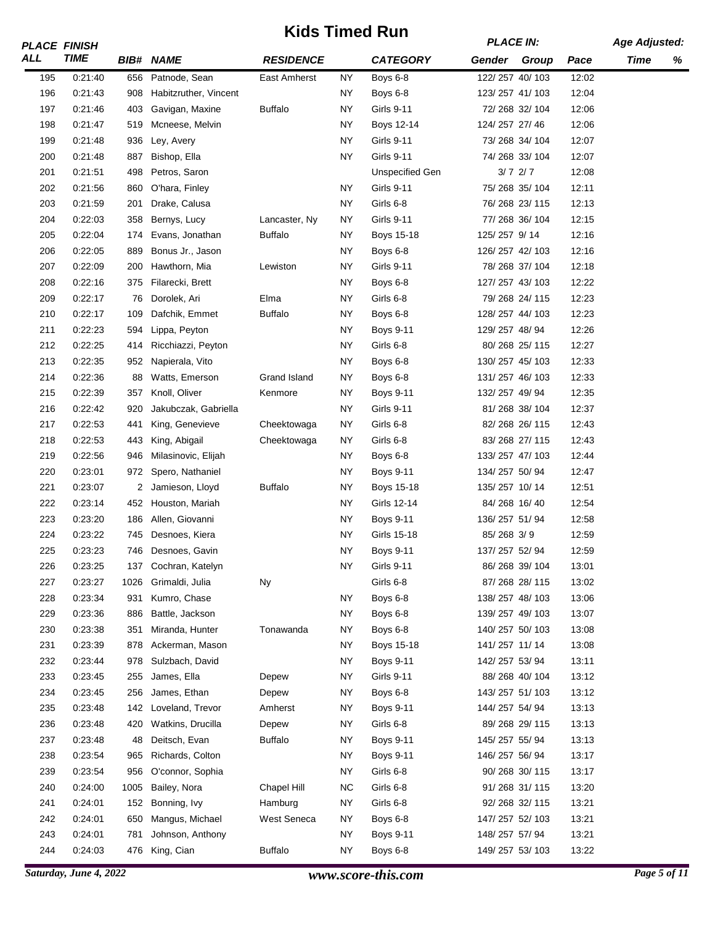|     | <b>PLACE FINISH</b> |                |                       | NIUS TIMBU RUN   |           | <b>PLACE IN:</b>  |                |               | <b>Age Adjusted:</b> |             |   |
|-----|---------------------|----------------|-----------------------|------------------|-----------|-------------------|----------------|---------------|----------------------|-------------|---|
| ALL | <b>TIME</b>         |                | <b>BIB# NAME</b>      | <b>RESIDENCE</b> |           | <b>CATEGORY</b>   | Gender         | Group         | Pace                 | <b>Time</b> | % |
| 195 | 0:21:40             | 656            | Patnode, Sean         | East Amherst     | <b>NY</b> | Boys 6-8          | 122/257 40/103 |               | 12:02                |             |   |
| 196 | 0:21:43             | 908            | Habitzruther, Vincent |                  | <b>NY</b> | Boys 6-8          | 123/257 41/103 |               | 12:04                |             |   |
| 197 | 0:21:46             | 403            | Gavigan, Maxine       | <b>Buffalo</b>   | <b>NY</b> | <b>Girls 9-11</b> |                | 72/268 32/104 | 12:06                |             |   |
| 198 | 0:21:47             | 519            | Mcneese, Melvin       |                  | <b>NY</b> | Boys 12-14        | 124/257 27/46  |               | 12:06                |             |   |
| 199 | 0:21:48             | 936            | Ley, Avery            |                  | <b>NY</b> | <b>Girls 9-11</b> |                | 73/268 34/104 | 12:07                |             |   |
| 200 | 0:21:48             | 887            | Bishop, Ella          |                  | <b>NY</b> | <b>Girls 9-11</b> |                | 74/268 33/104 | 12:07                |             |   |
| 201 | 0:21:51             | 498            | Petros, Saron         |                  |           | Unspecified Gen   |                | $3/7$ 2/7     | 12:08                |             |   |
| 202 | 0:21:56             | 860            | O'hara, Finley        |                  | <b>NY</b> | <b>Girls 9-11</b> |                | 75/268 35/104 | 12:11                |             |   |
| 203 | 0:21:59             | 201            | Drake, Calusa         |                  | <b>NY</b> | Girls 6-8         |                | 76/268 23/115 | 12:13                |             |   |
| 204 | 0:22:03             | 358            | Bernys, Lucy          | Lancaster, Ny    | NY        | <b>Girls 9-11</b> |                | 77/268 36/104 | 12:15                |             |   |
| 205 | 0:22:04             | 174            | Evans, Jonathan       | <b>Buffalo</b>   | <b>NY</b> | Boys 15-18        | 125/257 9/14   |               | 12:16                |             |   |
| 206 | 0:22:05             | 889            | Bonus Jr., Jason      |                  | <b>NY</b> | Boys 6-8          | 126/257 42/103 |               | 12:16                |             |   |
| 207 | 0:22:09             | 200            | Hawthorn, Mia         | Lewiston         | <b>NY</b> | <b>Girls 9-11</b> |                | 78/268 37/104 | 12:18                |             |   |
| 208 | 0:22:16             | 375            | Filarecki, Brett      |                  | <b>NY</b> | Boys 6-8          | 127/257 43/103 |               | 12:22                |             |   |
| 209 | 0:22:17             | 76             | Dorolek, Ari          | Elma             | <b>NY</b> | Girls 6-8         |                | 79/268 24/115 | 12:23                |             |   |
| 210 | 0:22:17             | 109            | Dafchik, Emmet        | <b>Buffalo</b>   | NY.       | Boys 6-8          | 128/257 44/103 |               | 12:23                |             |   |
| 211 | 0:22:23             | 594            | Lippa, Peyton         |                  | <b>NY</b> | <b>Boys 9-11</b>  | 129/257 48/94  |               | 12:26                |             |   |
| 212 | 0:22:25             | 414            | Ricchiazzi, Peyton    |                  | NY        | Girls 6-8         |                | 80/268 25/115 | 12:27                |             |   |
| 213 | 0:22:35             | 952            | Napierala, Vito       |                  | <b>NY</b> | Boys 6-8          | 130/257 45/103 |               | 12:33                |             |   |
| 214 | 0:22:36             | 88             | Watts, Emerson        | Grand Island     | <b>NY</b> | Boys 6-8          | 131/257 46/103 |               | 12:33                |             |   |
| 215 | 0:22:39             | 357            | Knoll, Oliver         | Kenmore          | <b>NY</b> | <b>Boys 9-11</b>  | 132/257 49/94  |               | 12:35                |             |   |
| 216 | 0:22:42             | 920            | Jakubczak, Gabriella  |                  | <b>NY</b> | <b>Girls 9-11</b> |                | 81/268 38/104 | 12:37                |             |   |
| 217 | 0:22:53             | 441            | King, Genevieve       | Cheektowaga      | <b>NY</b> | Girls 6-8         |                | 82/268 26/115 | 12:43                |             |   |
| 218 | 0:22:53             | 443            | King, Abigail         | Cheektowaga      | <b>NY</b> | Girls 6-8         |                | 83/268 27/115 | 12:43                |             |   |
| 219 | 0:22:56             | 946            | Milasinovic, Elijah   |                  | <b>NY</b> | Boys 6-8          | 133/257 47/103 |               | 12:44                |             |   |
| 220 | 0:23:01             | 972            | Spero, Nathaniel      |                  | <b>NY</b> | <b>Boys 9-11</b>  | 134/257 50/94  |               | 12:47                |             |   |
| 221 | 0:23:07             | $\overline{2}$ | Jamieson, Lloyd       | <b>Buffalo</b>   | <b>NY</b> | Boys 15-18        | 135/257 10/14  |               | 12:51                |             |   |
| 222 | 0:23:14             |                | 452 Houston, Mariah   |                  | <b>NY</b> | Girls 12-14       | 84/268 16/40   |               | 12:54                |             |   |
| 223 | 0:23:20             | 186            | Allen, Giovanni       |                  | <b>NY</b> | <b>Boys 9-11</b>  | 136/257 51/94  |               | 12:58                |             |   |
| 224 | 0:23:22             | 745            | Desnoes, Kiera        |                  | <b>NY</b> | Girls 15-18       | 85/268 3/9     |               | 12:59                |             |   |
| 225 | 0.23.23             | 746            | Desnoes, Gavin        |                  | <b>NY</b> | Boys 9-11         | 137/257 52/94  |               | 12:59                |             |   |
| 226 | 0.23:25             | 137            | Cochran, Katelyn      |                  | <b>NY</b> | <b>Girls 9-11</b> |                | 86/268 39/104 | 13:01                |             |   |
| 227 | 0:23:27             | 1026           | Grimaldi, Julia       | <b>Ny</b>        |           | Girls 6-8         |                | 87/268 28/115 | 13:02                |             |   |
| 228 | 0:23:34             | 931            | Kumro, Chase          |                  | <b>NY</b> | Boys 6-8          | 138/257 48/103 |               | 13:06                |             |   |
| 229 | 0:23:36             | 886            | Battle, Jackson       |                  | NY.       | Boys 6-8          | 139/257 49/103 |               | 13:07                |             |   |
| 230 | 0:23:38             | 351            | Miranda, Hunter       | Tonawanda        | NY.       | Boys 6-8          | 140/257 50/103 |               | 13:08                |             |   |
| 231 | 0:23:39             | 878            | Ackerman, Mason       |                  | <b>NY</b> | Boys 15-18        | 141/257 11/14  |               | 13:08                |             |   |
| 232 | 0:23:44             | 978            | Sulzbach, David       |                  | NY.       | <b>Boys 9-11</b>  | 142/257 53/94  |               | 13:11                |             |   |
| 233 | 0:23:45             | 255            | James, Ella           | Depew            | NY.       | Girls 9-11        |                | 88/268 40/104 | 13:12                |             |   |
| 234 | 0:23:45             | 256            | James, Ethan          | Depew            | NY.       | Boys 6-8          | 143/257 51/103 |               | 13:12                |             |   |
| 235 | 0:23:48             | 142            | Loveland, Trevor      | Amherst          | NY.       | <b>Boys 9-11</b>  | 144/257 54/94  |               | 13:13                |             |   |
|     |                     |                |                       |                  | NY.       | Girls 6-8         |                |               |                      |             |   |
| 236 | 0:23:48             | 420            | Watkins, Drucilla     | Depew            | NY.       |                   |                | 89/268 29/115 | 13:13                |             |   |
| 237 | 0:23:48             | 48             | Deitsch, Evan         | <b>Buffalo</b>   |           | <b>Boys 9-11</b>  | 145/257 55/94  |               | 13:13                |             |   |
| 238 | 0:23:54             | 965            | Richards, Colton      |                  | <b>NY</b> | <b>Boys 9-11</b>  | 146/257 56/94  |               | 13:17                |             |   |
| 239 | 0:23:54             | 956            | O'connor, Sophia      |                  | <b>NY</b> | Girls 6-8         |                | 90/268 30/115 | 13:17                |             |   |
| 240 | 0:24:00             | 1005           | Bailey, Nora          | Chapel Hill      | <b>NC</b> | Girls 6-8         |                | 91/268 31/115 | 13:20                |             |   |
| 241 | 0:24:01             | 152            | Bonning, Ivy          | Hamburg          | <b>NY</b> | Girls 6-8         |                | 92/268 32/115 | 13:21                |             |   |
| 242 | 0:24:01             | 650            | Mangus, Michael       | West Seneca      | <b>NY</b> | Boys 6-8          | 147/257 52/103 |               | 13:21                |             |   |
| 243 | 0:24:01             | 781            | Johnson, Anthony      |                  | <b>NY</b> | <b>Boys 9-11</b>  | 148/257 57/94  |               | 13:21                |             |   |
| 244 | 0:24:03             | 476            | King, Cian            | <b>Buffalo</b>   | <b>NY</b> | Boys 6-8          | 149/257 53/103 |               | 13:22                |             |   |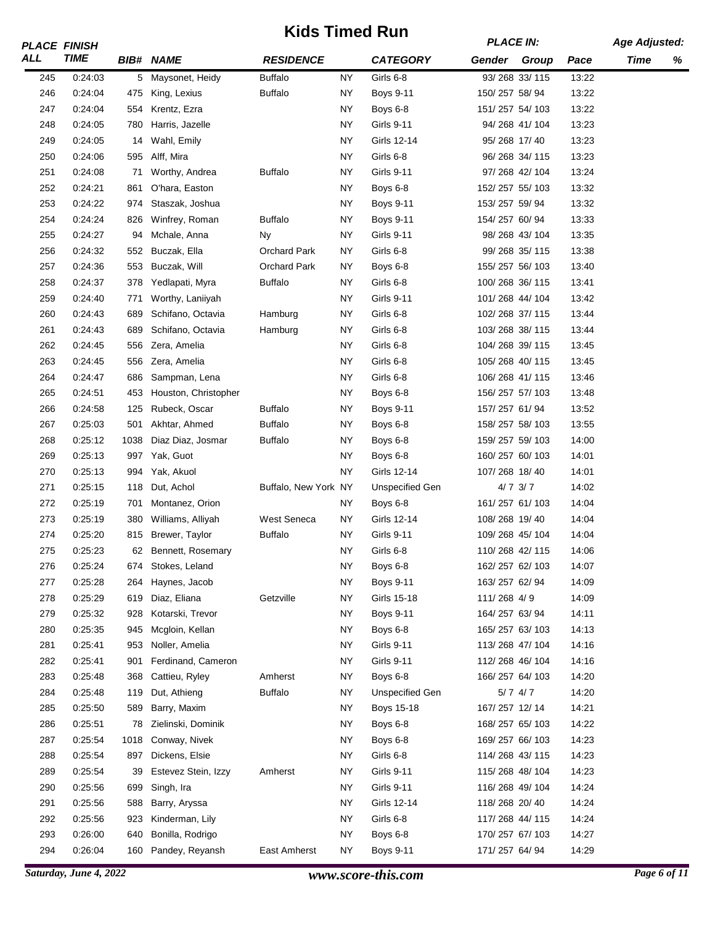|     | <b>PLACE FINISH</b> |      |                      | NIUS TIIIIGU NUIT<br><b>RESIDENCE</b> |           |                        | <b>PLACE IN:</b> |               |       | <b>Age Adjusted:</b> |   |
|-----|---------------------|------|----------------------|---------------------------------------|-----------|------------------------|------------------|---------------|-------|----------------------|---|
| ALL | <b>TIME</b>         |      | <b>BIB# NAME</b>     |                                       |           | <b>CATEGORY</b>        | Gender Group     |               | Pace  | Time                 | % |
| 245 | 0:24:03             |      | 5 Maysonet, Heidy    | <b>Buffalo</b>                        | NY.       | Girls 6-8              |                  | 93/268 33/115 | 13:22 |                      |   |
| 246 | 0:24:04             | 475  | King, Lexius         | <b>Buffalo</b>                        | NY.       | <b>Boys 9-11</b>       | 150/257 58/94    |               | 13:22 |                      |   |
| 247 | 0:24:04             | 554  | Krentz, Ezra         |                                       | <b>NY</b> | Boys 6-8               | 151/257 54/103   |               | 13:22 |                      |   |
| 248 | 0:24:05             | 780  | Harris, Jazelle      |                                       | <b>NY</b> | <b>Girls 9-11</b>      | 94/268 41/104    |               | 13:23 |                      |   |
| 249 | 0:24:05             | 14   | Wahl, Emily          |                                       | <b>NY</b> | Girls 12-14            | 95/268 17/40     |               | 13:23 |                      |   |
| 250 | 0:24:06             | 595  | Alff, Mira           |                                       | NY.       | Girls 6-8              |                  | 96/268 34/115 | 13:23 |                      |   |
| 251 | 0:24:08             | 71   | Worthy, Andrea       | <b>Buffalo</b>                        | <b>NY</b> | <b>Girls 9-11</b>      |                  | 97/268 42/104 | 13:24 |                      |   |
| 252 | 0:24:21             | 861  | O'hara, Easton       |                                       | <b>NY</b> | Boys 6-8               | 152/257 55/103   |               | 13:32 |                      |   |
| 253 | 0:24:22             | 974  | Staszak, Joshua      |                                       | <b>NY</b> | <b>Boys 9-11</b>       | 153/257 59/94    |               | 13:32 |                      |   |
| 254 | 0:24:24             | 826  | Winfrey, Roman       | <b>Buffalo</b>                        | <b>NY</b> | <b>Boys 9-11</b>       | 154/257 60/94    |               | 13:33 |                      |   |
| 255 | 0:24:27             | 94   | Mchale, Anna         | Ny                                    | <b>NY</b> | <b>Girls 9-11</b>      |                  | 98/268 43/104 | 13:35 |                      |   |
| 256 | 0:24:32             | 552  | Buczak, Ella         | Orchard Park                          | <b>NY</b> | Girls 6-8              |                  | 99/268 35/115 | 13:38 |                      |   |
| 257 | 0:24:36             | 553  | Buczak, Will         | <b>Orchard Park</b>                   | <b>NY</b> | Boys 6-8               | 155/257 56/103   |               | 13:40 |                      |   |
| 258 | 0:24:37             | 378  | Yedlapati, Myra      | <b>Buffalo</b>                        | NY.       | Girls 6-8              | 100/268 36/115   |               | 13:41 |                      |   |
| 259 | 0:24:40             | 771  | Worthy, Laniiyah     |                                       | <b>NY</b> | <b>Girls 9-11</b>      | 101/268 44/104   |               | 13:42 |                      |   |
| 260 | 0:24:43             | 689  | Schifano, Octavia    | Hamburg                               | <b>NY</b> | Girls 6-8              | 102/268 37/115   |               | 13:44 |                      |   |
| 261 | 0:24:43             | 689  | Schifano, Octavia    | Hamburg                               | <b>NY</b> | Girls 6-8              | 103/268 38/115   |               | 13:44 |                      |   |
| 262 | 0:24:45             | 556  | Zera, Amelia         |                                       | NY.       | Girls 6-8              | 104/268 39/115   |               | 13:45 |                      |   |
| 263 | 0:24:45             | 556  | Zera, Amelia         |                                       | NY        | Girls 6-8              | 105/268 40/115   |               | 13:45 |                      |   |
| 264 | 0:24:47             | 686  | Sampman, Lena        |                                       | <b>NY</b> | Girls 6-8              | 106/268 41/115   |               | 13:46 |                      |   |
| 265 | 0:24:51             | 453  | Houston, Christopher |                                       | <b>NY</b> | Boys 6-8               | 156/257 57/103   |               | 13:48 |                      |   |
| 266 | 0:24:58             | 125  | Rubeck, Oscar        | <b>Buffalo</b>                        | NY.       | <b>Boys 9-11</b>       | 157/257 61/94    |               | 13:52 |                      |   |
| 267 | 0:25:03             | 501  | Akhtar, Ahmed        | <b>Buffalo</b>                        | <b>NY</b> | Boys 6-8               | 158/257 58/103   |               | 13:55 |                      |   |
| 268 | 0:25:12             | 1038 | Diaz Diaz, Josmar    | <b>Buffalo</b>                        | <b>NY</b> | Boys 6-8               | 159/257 59/103   |               | 14:00 |                      |   |
| 269 | 0.25:13             | 997  | Yak, Guot            |                                       | <b>NY</b> | Boys 6-8               | 160/257 60/103   |               | 14:01 |                      |   |
| 270 | 0.25:13             | 994  | Yak, Akuol           |                                       | <b>NY</b> | Girls 12-14            | 107/268 18/40    |               | 14:01 |                      |   |
| 271 | 0:25:15             | 118  | Dut, Achol           | Buffalo, New York NY                  |           | <b>Unspecified Gen</b> |                  | $4/7$ $3/7$   | 14:02 |                      |   |
| 272 | 0:25:19             | 701  | Montanez, Orion      |                                       | <b>NY</b> | Boys 6-8               | 161/257 61/103   |               | 14:04 |                      |   |
| 273 | 0:25:19             | 380  | Williams, Alliyah    | West Seneca                           | <b>NY</b> | Girls 12-14            | 108/268 19/40    |               | 14:04 |                      |   |
| 274 | 0:25:20             | 815  | Brewer, Taylor       | <b>Buffalo</b>                        | <b>NY</b> | <b>Girls 9-11</b>      | 109/268 45/104   |               | 14:04 |                      |   |
| 275 | 0.25.23             |      | 62 Bennett, Rosemary |                                       | ΝY        | Girls 6-8              | 110/268 42/115   |               | 14:06 |                      |   |
| 276 | 0.25.24             | 674  | Stokes, Leland       |                                       | <b>NY</b> | Boys 6-8               | 162/257 62/103   |               | 14:07 |                      |   |
| 277 | 0:25:28             | 264  | Haynes, Jacob        |                                       | <b>NY</b> | <b>Boys 9-11</b>       | 163/257 62/94    |               | 14:09 |                      |   |
| 278 | 0:25:29             | 619  | Diaz, Eliana         | Getzville                             | <b>NY</b> | Girls 15-18            | 111/268 4/9      |               | 14:09 |                      |   |
| 279 | 0:25:32             | 928  | Kotarski, Trevor     |                                       | <b>NY</b> | <b>Boys 9-11</b>       | 164/257 63/94    |               | 14:11 |                      |   |
| 280 | 0:25:35             | 945  | Mcgloin, Kellan      |                                       | <b>NY</b> | Boys 6-8               | 165/257 63/103   |               | 14:13 |                      |   |
| 281 | 0.25.41             | 953  | Noller, Amelia       |                                       | <b>NY</b> | <b>Girls 9-11</b>      | 113/268 47/104   |               | 14:16 |                      |   |
| 282 | 0:25:41             | 901  | Ferdinand, Cameron   |                                       | NY.       | <b>Girls 9-11</b>      | 112/268 46/104   |               | 14:16 |                      |   |
| 283 | 0:25:48             | 368  | Cattieu, Ryley       | Amherst                               | NY.       | Boys 6-8               | 166/257 64/103   |               | 14:20 |                      |   |
| 284 | 0:25:48             | 119  | Dut, Athieng         | <b>Buffalo</b>                        | NY.       | <b>Unspecified Gen</b> |                  | $5/7$ 4/7     | 14:20 |                      |   |
| 285 | 0:25:50             | 589  | Barry, Maxim         |                                       | NY.       | Boys 15-18             | 167/257 12/14    |               | 14:21 |                      |   |
| 286 | 0:25:51             | 78   | Zielinski, Dominik   |                                       | NY.       | Boys 6-8               | 168/257 65/103   |               | 14:22 |                      |   |
| 287 | 0:25:54             | 1018 | Conway, Nivek        |                                       | NY.       | Boys 6-8               | 169/257 66/103   |               | 14:23 |                      |   |
| 288 | 0:25:54             | 897  | Dickens, Elsie       |                                       | <b>NY</b> | Girls 6-8              | 114/268 43/115   |               | 14:23 |                      |   |
| 289 | 0.25:54             | 39   | Estevez Stein, Izzy  | Amherst                               | <b>NY</b> | Girls 9-11             | 115/268 48/104   |               | 14:23 |                      |   |
| 290 | 0:25:56             | 699  | Singh, Ira           |                                       | NY.       | <b>Girls 9-11</b>      | 116/268 49/104   |               | 14:24 |                      |   |
| 291 | 0:25:56             | 588  | Barry, Aryssa        |                                       | NY.       | Girls 12-14            | 118/268 20/40    |               | 14:24 |                      |   |
| 292 | 0:25:56             | 923  | Kinderman, Lily      |                                       | <b>NY</b> | Girls 6-8              | 117/268 44/115   |               | 14:24 |                      |   |
| 293 | 0.26:00             | 640  | Bonilla, Rodrigo     |                                       | NY.       | Boys 6-8               | 170/257 67/103   |               | 14:27 |                      |   |
| 294 | 0:26:04             | 160  | Pandey, Reyansh      | East Amherst                          | NY.       | <b>Boys 9-11</b>       | 171/257 64/94    |               | 14:29 |                      |   |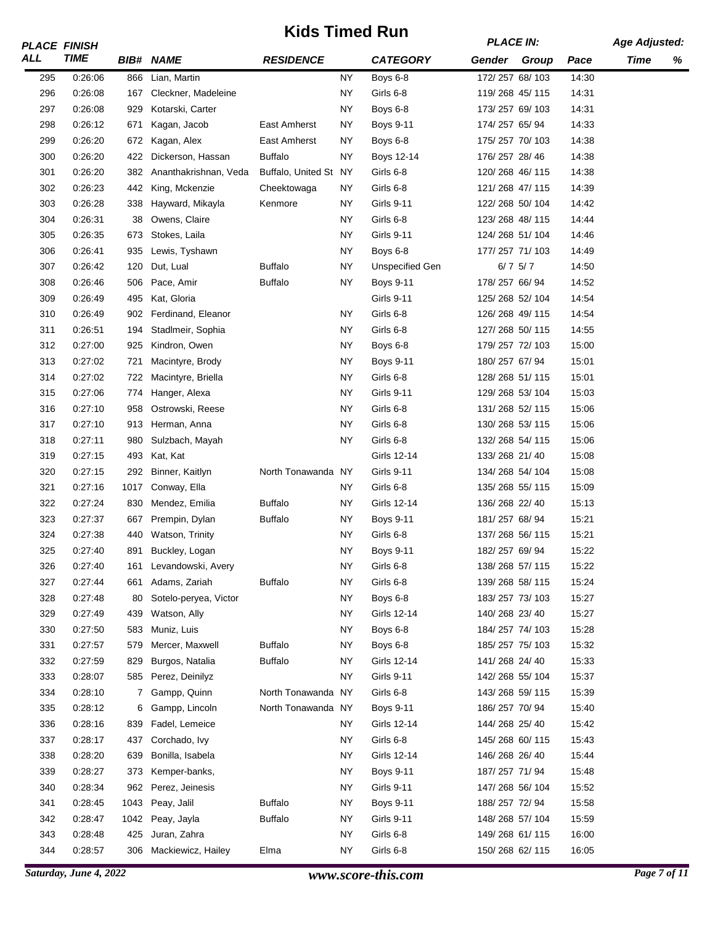|     | <b>PLACE FINISH</b> |      |                       | NIUS TIMBU RUN        |           |                        | <b>PLACE IN:</b> |             |       | <b>Age Adjusted:</b> |   |
|-----|---------------------|------|-----------------------|-----------------------|-----------|------------------------|------------------|-------------|-------|----------------------|---|
| ALL | <b>TIME</b>         |      | <b>BIB# NAME</b>      | <b>RESIDENCE</b>      |           | <b>CATEGORY</b>        | Gender           | Group       | Pace  | <b>Time</b>          | % |
| 295 | 0:26:06             | 866  | Lian, Martin          |                       | <b>NY</b> | Boys 6-8               | 172/257 68/103   |             | 14:30 |                      |   |
| 296 | 0:26:08             | 167  | Cleckner, Madeleine   |                       | NY        | Girls 6-8              | 119/268 45/115   |             | 14:31 |                      |   |
| 297 | 0:26:08             | 929  | Kotarski, Carter      |                       | <b>NY</b> | Boys 6-8               | 173/257 69/103   |             | 14:31 |                      |   |
| 298 | 0.26:12             | 671  | Kagan, Jacob          | East Amherst          | NY        | Boys 9-11              | 174/257 65/94    |             | 14:33 |                      |   |
| 299 | 0.26:20             | 672  | Kagan, Alex           | East Amherst          | <b>NY</b> | Boys 6-8               | 175/257 70/103   |             | 14:38 |                      |   |
| 300 | 0:26:20             | 422  | Dickerson, Hassan     | <b>Buffalo</b>        | <b>NY</b> | Boys 12-14             | 176/257 28/46    |             | 14:38 |                      |   |
| 301 | 0:26:20             | 382  | Ananthakrishnan, Veda | Buffalo, United St NY |           | Girls 6-8              | 120/268 46/115   |             | 14:38 |                      |   |
| 302 | 0:26:23             | 442  | King, Mckenzie        | Cheektowaga           | <b>NY</b> | Girls 6-8              | 121/268 47/115   |             | 14:39 |                      |   |
| 303 | 0:26:28             | 338  | Hayward, Mikayla      | Kenmore               | <b>NY</b> | <b>Girls 9-11</b>      | 122/268 50/104   |             | 14:42 |                      |   |
| 304 | 0:26:31             | 38   | Owens, Claire         |                       | <b>NY</b> | Girls 6-8              | 123/268 48/115   |             | 14:44 |                      |   |
| 305 | 0:26:35             | 673  | Stokes, Laila         |                       | <b>NY</b> | <b>Girls 9-11</b>      | 124/268 51/104   |             | 14:46 |                      |   |
| 306 | 0:26:41             | 935  | Lewis, Tyshawn        |                       | <b>NY</b> | Boys 6-8               | 177/257 71/103   |             | 14:49 |                      |   |
| 307 | 0:26:42             | 120  | Dut, Lual             | <b>Buffalo</b>        | <b>NY</b> | <b>Unspecified Gen</b> |                  | $6/7$ $5/7$ | 14:50 |                      |   |
| 308 | 0.26:46             | 506  | Pace, Amir            | <b>Buffalo</b>        | <b>NY</b> | <b>Boys 9-11</b>       | 178/257 66/94    |             | 14:52 |                      |   |
| 309 | 0:26:49             | 495  | Kat, Gloria           |                       |           | <b>Girls 9-11</b>      | 125/268 52/104   |             | 14:54 |                      |   |
| 310 | 0:26:49             | 902  | Ferdinand, Eleanor    |                       | <b>NY</b> | Girls 6-8              | 126/268 49/115   |             | 14:54 |                      |   |
| 311 | 0:26:51             | 194  | Stadlmeir, Sophia     |                       | NY        | Girls 6-8              | 127/268 50/115   |             | 14:55 |                      |   |
| 312 | 0:27:00             | 925  | Kindron, Owen         |                       | <b>NY</b> | Boys 6-8               | 179/257 72/103   |             | 15:00 |                      |   |
| 313 | 0:27:02             | 721  | Macintyre, Brody      |                       | <b>NY</b> | Boys 9-11              | 180/257 67/94    |             | 15:01 |                      |   |
| 314 | 0:27:02             | 722  | Macintyre, Briella    |                       | <b>NY</b> | Girls 6-8              | 128/268 51/115   |             | 15:01 |                      |   |
| 315 | 0.27:06             | 774  | Hanger, Alexa         |                       | <b>NY</b> | <b>Girls 9-11</b>      | 129/268 53/104   |             | 15:03 |                      |   |
| 316 | 0:27:10             | 958  | Ostrowski, Reese      |                       | <b>NY</b> | Girls 6-8              | 131/268 52/115   |             | 15:06 |                      |   |
| 317 | 0:27:10             | 913  | Herman, Anna          |                       | <b>NY</b> | Girls 6-8              | 130/268 53/115   |             | 15:06 |                      |   |
| 318 | 0:27:11             | 980  | Sulzbach, Mayah       |                       | <b>NY</b> | Girls 6-8              | 132/268 54/115   |             | 15:06 |                      |   |
| 319 | 0.27:15             | 493  | Kat, Kat              |                       |           | Girls 12-14            | 133/268 21/40    |             | 15:08 |                      |   |
| 320 | 0.27:15             | 292  | Binner, Kaitlyn       | North Tonawanda NY    |           | <b>Girls 9-11</b>      | 134/268 54/104   |             | 15:08 |                      |   |
| 321 | 0:27:16             | 1017 | Conway, Ella          |                       | <b>NY</b> | Girls 6-8              | 135/268 55/115   |             | 15:09 |                      |   |
| 322 | 0.27:24             | 830  | Mendez, Emilia        | <b>Buffalo</b>        | <b>NY</b> | Girls 12-14            | 136/268 22/40    |             | 15:13 |                      |   |
| 323 | 0:27:37             | 667  | Prempin, Dylan        | <b>Buffalo</b>        | <b>NY</b> | <b>Boys 9-11</b>       | 181/257 68/94    |             | 15:21 |                      |   |
| 324 | 0:27:38             | 440  | Watson, Trinity       |                       | <b>NY</b> | Girls 6-8              | 137/268 56/115   |             | 15:21 |                      |   |
| 325 | 0:27:40             | 891  | Buckley, Logan        |                       | <b>NY</b> | Boys 9-11              | 182/257 69/94    |             | 15:22 |                      |   |
| 326 | 0:27:40             | 161  | Levandowski, Avery    |                       | <b>NY</b> | Girls 6-8              | 138/268 57/115   |             | 15:22 |                      |   |
| 327 | 0.27:44             | 661  | Adams, Zariah         | <b>Buffalo</b>        | <b>NY</b> | Girls 6-8              | 139/268 58/115   |             | 15:24 |                      |   |
| 328 | 0.27:48             | 80   | Sotelo-peryea, Victor |                       | <b>NY</b> | Boys 6-8               | 183/257 73/103   |             | 15:27 |                      |   |
| 329 | 0:27:49             | 439  | Watson, Ally          |                       | <b>NY</b> | Girls 12-14            | 140/268 23/40    |             | 15:27 |                      |   |
| 330 | 0.27:50             | 583  | Muniz, Luis           |                       | <b>NY</b> | Boys 6-8               | 184/257 74/103   |             | 15:28 |                      |   |
| 331 | 0.27:57             | 579  | Mercer, Maxwell       | <b>Buffalo</b>        | <b>NY</b> | Boys 6-8               | 185/257 75/103   |             | 15:32 |                      |   |
| 332 | 0:27:59             | 829  | Burgos, Natalia       | <b>Buffalo</b>        | <b>NY</b> | Girls 12-14            | 141/268 24/40    |             | 15:33 |                      |   |
| 333 | 0:28:07             | 585  | Perez, Deinilyz       |                       | <b>NY</b> | Girls 9-11             | 142/268 55/104   |             | 15:37 |                      |   |
| 334 | 0:28:10             | 7    | Gampp, Quinn          | North Tonawanda NY    |           | Girls 6-8              | 143/268 59/115   |             | 15:39 |                      |   |
| 335 |                     |      |                       | North Tonawanda NY    |           |                        |                  |             | 15:40 |                      |   |
|     | 0:28:12             | 6    | Gampp, Lincoln        |                       |           | <b>Boys 9-11</b>       | 186/257 70/94    |             |       |                      |   |
| 336 | 0:28:16             | 839  | Fadel, Lemeice        |                       | NY        | Girls 12-14            | 144/268 25/40    |             | 15:42 |                      |   |
| 337 | 0:28:17             | 437  | Corchado, Ivy         |                       | <b>NY</b> | Girls 6-8              | 145/268 60/115   |             | 15:43 |                      |   |
| 338 | 0.28:20             | 639  | Bonilla, Isabela      |                       | <b>NY</b> | Girls 12-14            | 146/268 26/40    |             | 15:44 |                      |   |
| 339 | 0:28:27             | 373  | Kemper-banks,         |                       | <b>NY</b> | <b>Boys 9-11</b>       | 187/257 71/94    |             | 15:48 |                      |   |
| 340 | 0:28:34             | 962  | Perez, Jeinesis       |                       | <b>NY</b> | <b>Girls 9-11</b>      | 147/268 56/104   |             | 15:52 |                      |   |
| 341 | 0:28:45             | 1043 | Peay, Jalil           | <b>Buffalo</b>        | <b>NY</b> | <b>Boys 9-11</b>       | 188/257 72/94    |             | 15:58 |                      |   |
| 342 | 0:28:47             | 1042 | Peay, Jayla           | <b>Buffalo</b>        | <b>NY</b> | Girls 9-11             | 148/268 57/104   |             | 15:59 |                      |   |
| 343 | 0:28:48             | 425  | Juran, Zahra          |                       | <b>NY</b> | Girls 6-8              | 149/268 61/115   |             | 16:00 |                      |   |
| 344 | 0:28:57             | 306  | Mackiewicz, Hailey    | Elma                  | <b>NY</b> | Girls 6-8              | 150/268 62/115   |             | 16:05 |                      |   |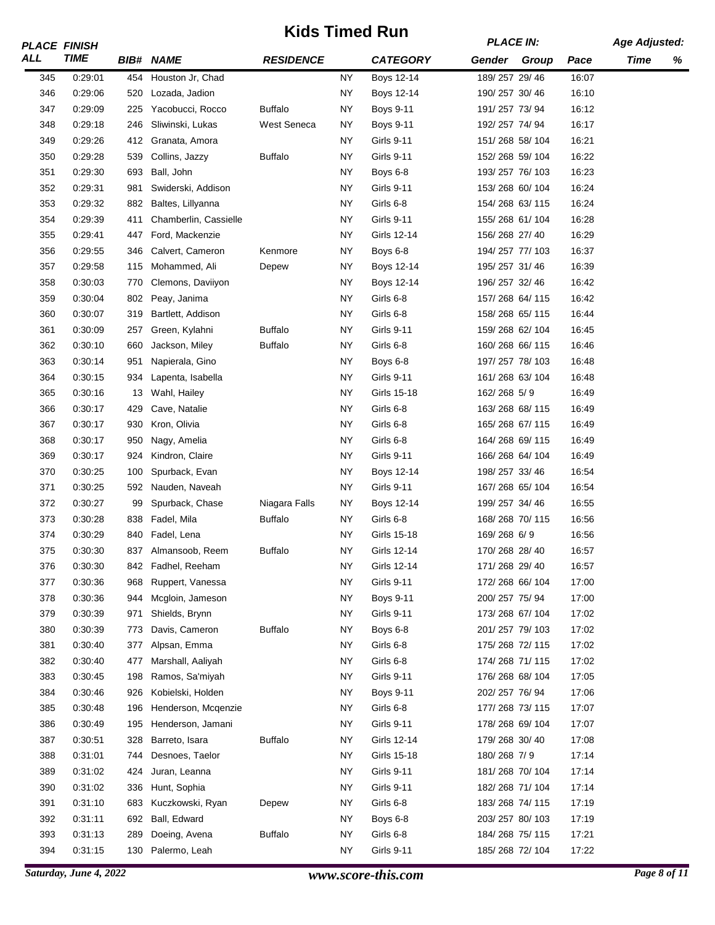|     | <b>PLACE FINISH</b> |     |                       | NUS TIIIIGU NUH<br><b>RESIDENCE</b> |           |                   |                | <b>PLACE IN:</b> |       | <b>Age Adjusted:</b> |   |
|-----|---------------------|-----|-----------------------|-------------------------------------|-----------|-------------------|----------------|------------------|-------|----------------------|---|
| ALL | <b>TIME</b>         |     | <b>BIB# NAME</b>      |                                     |           | <b>CATEGORY</b>   |                | Gender Group     | Pace  | Time                 | % |
| 345 | 0:29:01             | 454 | Houston Jr, Chad      |                                     | <b>NY</b> | Boys 12-14        | 189/257 29/46  |                  | 16:07 |                      |   |
| 346 | 0:29:06             | 520 | Lozada, Jadion        |                                     | <b>NY</b> | <b>Boys 12-14</b> | 190/257 30/46  |                  | 16:10 |                      |   |
| 347 | 0:29:09             | 225 | Yacobucci, Rocco      | <b>Buffalo</b>                      | <b>NY</b> | <b>Boys 9-11</b>  | 191/257 73/94  |                  | 16:12 |                      |   |
| 348 | 0:29:18             | 246 | Sliwinski, Lukas      | West Seneca                         | <b>NY</b> | <b>Boys 9-11</b>  | 192/257 74/94  |                  | 16:17 |                      |   |
| 349 | 0:29:26             |     | 412 Granata, Amora    |                                     | <b>NY</b> | Girls 9-11        | 151/268 58/104 |                  | 16:21 |                      |   |
| 350 | 0:29:28             | 539 | Collins, Jazzy        | <b>Buffalo</b>                      | <b>NY</b> | Girls 9-11        | 152/268 59/104 |                  | 16:22 |                      |   |
| 351 | 0:29:30             | 693 | Ball, John            |                                     | <b>NY</b> | Boys 6-8          | 193/257 76/103 |                  | 16:23 |                      |   |
| 352 | 0:29:31             | 981 | Swiderski, Addison    |                                     | <b>NY</b> | Girls 9-11        | 153/268 60/104 |                  | 16:24 |                      |   |
| 353 | 0:29:32             | 882 | Baltes, Lillyanna     |                                     | <b>NY</b> | Girls 6-8         | 154/268 63/115 |                  | 16:24 |                      |   |
| 354 | 0:29:39             | 411 | Chamberlin, Cassielle |                                     | <b>NY</b> | <b>Girls 9-11</b> | 155/268 61/104 |                  | 16:28 |                      |   |
| 355 | 0:29:41             | 447 | Ford, Mackenzie       |                                     | <b>NY</b> | Girls 12-14       | 156/268 27/40  |                  | 16:29 |                      |   |
| 356 | 0:29:55             | 346 | Calvert, Cameron      | Kenmore                             | <b>NY</b> | Boys 6-8          | 194/257 77/103 |                  | 16:37 |                      |   |
| 357 | 0:29:58             | 115 | Mohammed, Ali         | Depew                               | <b>NY</b> | Boys 12-14        | 195/257 31/46  |                  | 16:39 |                      |   |
| 358 | 0:30:03             | 770 | Clemons, Daviiyon     |                                     | <b>NY</b> | Boys 12-14        | 196/257 32/46  |                  | 16:42 |                      |   |
| 359 | 0:30:04             | 802 | Peay, Janima          |                                     | <b>NY</b> | Girls 6-8         | 157/268 64/115 |                  | 16:42 |                      |   |
| 360 | 0:30:07             | 319 | Bartlett, Addison     |                                     | <b>NY</b> | Girls 6-8         | 158/268 65/115 |                  | 16:44 |                      |   |
| 361 | 0:30:09             | 257 | Green, Kylahni        | <b>Buffalo</b>                      | <b>NY</b> | <b>Girls 9-11</b> | 159/268 62/104 |                  | 16:45 |                      |   |
| 362 | 0:30:10             | 660 | Jackson, Miley        | <b>Buffalo</b>                      | <b>NY</b> | Girls 6-8         | 160/268 66/115 |                  | 16:46 |                      |   |
| 363 | 0:30:14             | 951 | Napierala, Gino       |                                     | <b>NY</b> | Boys 6-8          |                | 197/257 78/103   | 16:48 |                      |   |
| 364 | 0:30:15             | 934 | Lapenta, Isabella     |                                     | <b>NY</b> | <b>Girls 9-11</b> | 161/268 63/104 |                  | 16:48 |                      |   |
| 365 | 0:30:16             | 13  | Wahl, Hailey          |                                     | <b>NY</b> | Girls 15-18       | 162/268 5/9    |                  | 16:49 |                      |   |
| 366 | 0:30:17             | 429 | Cave, Natalie         |                                     | <b>NY</b> | Girls 6-8         | 163/268 68/115 |                  | 16:49 |                      |   |
| 367 | 0:30:17             | 930 | Kron, Olivia          |                                     | NY        | Girls 6-8         |                | 165/268 67/115   | 16:49 |                      |   |
| 368 | 0:30:17             | 950 | Nagy, Amelia          |                                     | <b>NY</b> | Girls 6-8         | 164/268 69/115 |                  | 16:49 |                      |   |
| 369 | 0:30:17             | 924 | Kindron, Claire       |                                     | <b>NY</b> | Girls 9-11        | 166/268 64/104 |                  | 16:49 |                      |   |
| 370 | 0:30:25             | 100 | Spurback, Evan        |                                     | <b>NY</b> | Boys 12-14        | 198/257 33/46  |                  | 16:54 |                      |   |
| 371 | 0:30:25             | 592 | Nauden, Naveah        |                                     | NY.       | <b>Girls 9-11</b> | 167/268 65/104 |                  | 16:54 |                      |   |
| 372 | 0:30:27             | 99  | Spurback, Chase       | Niagara Falls                       | <b>NY</b> | Boys 12-14        | 199/257 34/46  |                  | 16:55 |                      |   |
| 373 | 0:30:28             | 838 | Fadel, Mila           | <b>Buffalo</b>                      | <b>NY</b> | Girls 6-8         | 168/268 70/115 |                  | 16:56 |                      |   |
| 374 | 0:30:29             | 840 | Fadel, Lena           |                                     | <b>NY</b> | Girls 15-18       | 169/268 6/9    |                  | 16:56 |                      |   |
| 375 | 0:30:30             | 837 | Almansoob, Reem       | <b>Buffalo</b>                      | ΝY        | Girls 12-14       | 170/268 28/40  |                  | 16:57 |                      |   |
| 376 | 0:30:30             | 842 | Fadhel, Reeham        |                                     | <b>NY</b> | Girls 12-14       | 171/268 29/40  |                  | 16:57 |                      |   |
| 377 | 0:30:36             | 968 | Ruppert, Vanessa      |                                     | <b>NY</b> | Girls 9-11        | 172/268 66/104 |                  | 17:00 |                      |   |
| 378 | 0:30:36             | 944 | Mcgloin, Jameson      |                                     | <b>NY</b> | <b>Boys 9-11</b>  | 200/257 75/94  |                  | 17:00 |                      |   |
| 379 | 0:30:39             | 971 | Shields, Brynn        |                                     | <b>NY</b> | Girls 9-11        | 173/268 67/104 |                  | 17:02 |                      |   |
| 380 | 0:30:39             | 773 | Davis, Cameron        | <b>Buffalo</b>                      | <b>NY</b> | Boys 6-8          | 201/257 79/103 |                  | 17:02 |                      |   |
| 381 | 0:30:40             | 377 | Alpsan, Emma          |                                     | <b>NY</b> | Girls 6-8         |                | 175/268 72/115   | 17:02 |                      |   |
| 382 | 0:30:40             | 477 | Marshall, Aaliyah     |                                     | <b>NY</b> | Girls 6-8         |                | 174/268 71/115   | 17:02 |                      |   |
| 383 | 0:30:45             | 198 | Ramos, Sa'miyah       |                                     | ΝY        | Girls 9-11        | 176/268 68/104 |                  | 17:05 |                      |   |
| 384 | 0:30:46             | 926 | Kobielski, Holden     |                                     | <b>NY</b> | <b>Boys 9-11</b>  | 202/257 76/94  |                  | 17:06 |                      |   |
| 385 | 0:30:48             | 196 | Henderson, Mcgenzie   |                                     | ΝY        | Girls 6-8         |                | 177/268 73/115   | 17:07 |                      |   |
| 386 | 0:30:49             | 195 | Henderson, Jamani     |                                     | <b>NY</b> | Girls 9-11        | 178/268 69/104 |                  | 17:07 |                      |   |
| 387 | 0:30:51             | 328 | Barreto, Isara        | <b>Buffalo</b>                      | ΝY        | Girls 12-14       | 179/268 30/40  |                  | 17:08 |                      |   |
| 388 | 0:31:01             | 744 | Desnoes, Taelor       |                                     | <b>NY</b> | Girls 15-18       | 180/268 7/9    |                  | 17:14 |                      |   |
| 389 | 0:31:02             | 424 | Juran, Leanna         |                                     | ΝY        | Girls 9-11        |                | 181/268 70/104   | 17:14 |                      |   |
| 390 | 0:31:02             | 336 | Hunt, Sophia          |                                     | <b>NY</b> | <b>Girls 9-11</b> | 182/268 71/104 |                  | 17:14 |                      |   |
| 391 | 0:31:10             | 683 | Kuczkowski, Ryan      | Depew                               | ΝY        | Girls 6-8         |                | 183/268 74/115   | 17:19 |                      |   |
| 392 | 0:31:11             | 692 | Ball, Edward          |                                     | <b>NY</b> | Boys 6-8          | 203/257 80/103 |                  | 17:19 |                      |   |
| 393 | 0:31:13             | 289 | Doeing, Avena         | <b>Buffalo</b>                      | ΝY        | Girls 6-8         |                | 184/268 75/115   | 17:21 |                      |   |
| 394 | 0:31:15             | 130 | Palermo, Leah         |                                     | <b>NY</b> | Girls 9-11        | 185/268 72/104 |                  | 17:22 |                      |   |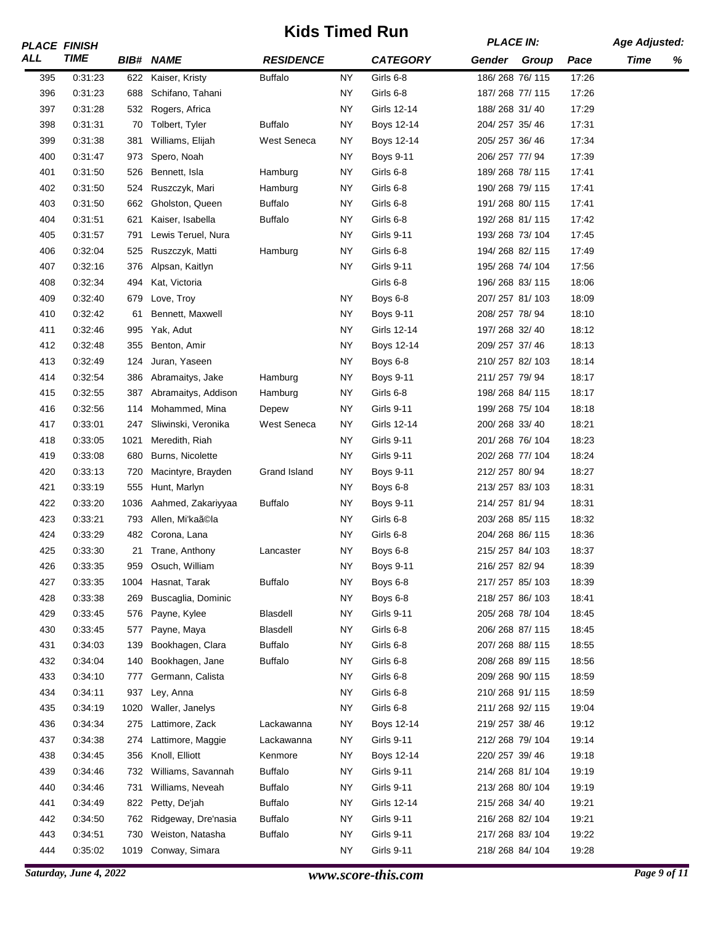|            | <b>PLACE FINISH</b> |      |                     | <b>KIGS TIMEG KUN</b><br><b>RESIDENCE</b> |                 |                   | <b>PLACE IN:</b> |       | <b>Age Adjusted:</b> |   |
|------------|---------------------|------|---------------------|-------------------------------------------|-----------------|-------------------|------------------|-------|----------------------|---|
| ALL        | <b>TIME</b>         |      | <b>BIB# NAME</b>    |                                           |                 | <b>CATEGORY</b>   | Gender Group     | Pace  | Time                 | % |
| 395        | 0:31:23             | 622  | Kaiser, Kristy      | <b>Buffalo</b>                            | <b>NY</b>       | Girls 6-8         | 186/268 76/115   | 17:26 |                      |   |
| 396        | 0:31:23             | 688  | Schifano, Tahani    |                                           | ΝY              | Girls 6-8         | 187/268 77/115   | 17:26 |                      |   |
| 397        | 0:31:28             | 532  | Rogers, Africa      |                                           | <b>NY</b>       | Girls 12-14       | 188/268 31/40    | 17:29 |                      |   |
| 398        | 0:31:31             | 70   | Tolbert, Tyler      | <b>Buffalo</b>                            | <b>NY</b>       | Boys 12-14        | 204/257 35/46    | 17:31 |                      |   |
| 399        | 0:31:38             | 381  | Williams, Elijah    | West Seneca                               | <b>NY</b>       | Boys 12-14        | 205/257 36/46    | 17:34 |                      |   |
| 400        | 0:31:47             | 973  | Spero, Noah         |                                           | <b>NY</b>       | <b>Boys 9-11</b>  | 206/257 77/94    | 17:39 |                      |   |
| 401        | 0:31:50             | 526  | Bennett, Isla       | Hamburg                                   | <b>NY</b>       | Girls 6-8         | 189/268 78/115   | 17:41 |                      |   |
| 402        | 0:31:50             | 524  | Ruszczyk, Mari      | Hamburg                                   | <b>NY</b>       | Girls 6-8         | 190/268 79/115   | 17:41 |                      |   |
| 403        | 0:31:50             | 662  | Gholston, Queen     | <b>Buffalo</b>                            | <b>NY</b>       | Girls 6-8         | 191/268 80/115   | 17:41 |                      |   |
| 404        | 0:31:51             | 621  | Kaiser, Isabella    | <b>Buffalo</b>                            | <b>NY</b>       | Girls 6-8         | 192/268 81/115   | 17:42 |                      |   |
| 405        | 0:31:57             | 791  | Lewis Teruel, Nura  |                                           | <b>NY</b>       | <b>Girls 9-11</b> | 193/268 73/104   | 17:45 |                      |   |
| 406        | 0:32:04             | 525  | Ruszczyk, Matti     | Hamburg                                   | <b>NY</b>       | Girls 6-8         | 194/268 82/115   | 17:49 |                      |   |
| 407        | 0:32:16             | 376  | Alpsan, Kaitlyn     |                                           | <b>NY</b>       | <b>Girls 9-11</b> | 195/268 74/104   | 17:56 |                      |   |
| 408        | 0:32:34             | 494  | Kat, Victoria       |                                           |                 | Girls 6-8         | 196/268 83/115   | 18:06 |                      |   |
| 409        | 0:32:40             | 679  | Love, Troy          |                                           | <b>NY</b>       | Boys 6-8          | 207/257 81/103   | 18:09 |                      |   |
| 410        | 0:32:42             | 61   | Bennett, Maxwell    |                                           | <b>NY</b>       | <b>Boys 9-11</b>  | 208/257 78/94    | 18:10 |                      |   |
| 411        | 0:32:46             | 995  | Yak, Adut           |                                           | ΝY              | Girls 12-14       | 197/268 32/40    | 18:12 |                      |   |
| 412        | 0:32:48             | 355  | Benton, Amir        |                                           | ΝY              | Boys 12-14        | 209/257 37/46    | 18:13 |                      |   |
| 413        | 0:32:49             | 124  | Juran, Yaseen       |                                           | <b>NY</b>       | Boys 6-8          | 210/257 82/103   | 18:14 |                      |   |
| 414        | 0:32:54             | 386  | Abramaitys, Jake    | Hamburg                                   | <b>NY</b>       | <b>Boys 9-11</b>  | 211/257 79/94    | 18:17 |                      |   |
| 415        | 0:32:55             | 387  | Abramaitys, Addison | Hamburg                                   | <b>NY</b>       | Girls 6-8         | 198/268 84/115   | 18:17 |                      |   |
| 416        | 0:32:56             | 114  | Mohammed, Mina      | Depew                                     | <b>NY</b>       | <b>Girls 9-11</b> | 199/268 75/104   | 18:18 |                      |   |
| 417        | 0:33:01             | 247  | Sliwinski, Veronika | <b>West Seneca</b>                        | <b>NY</b>       | Girls 12-14       | 200/268 33/40    | 18:21 |                      |   |
| 418        | 0:33:05             | 1021 | Meredith, Riah      |                                           | <b>NY</b>       | <b>Girls 9-11</b> | 201/268 76/104   | 18:23 |                      |   |
| 419        | 0:33:08             | 680  | Burns, Nicolette    |                                           | <b>NY</b>       | <b>Girls 9-11</b> | 202/268 77/104   | 18:24 |                      |   |
|            |                     |      |                     |                                           |                 |                   |                  | 18:27 |                      |   |
| 420        | 0:33:13<br>0:33:19  | 720  | Macintyre, Brayden  | Grand Island                              | NΥ<br><b>NY</b> | <b>Boys 9-11</b>  | 212/257 80/94    | 18:31 |                      |   |
| 421<br>422 |                     | 555  | Hunt, Marlyn        | <b>Buffalo</b>                            | <b>NY</b>       | Boys 6-8          | 213/257 83/103   | 18:31 |                      |   |
|            | 0:33:20             | 1036 | Aahmed, Zakariyyaa  |                                           |                 | <b>Boys 9-11</b>  | 214/257 81/94    |       |                      |   |
| 423        | 0:33:21             | 793  | Allen, Mi'kaã©la    |                                           | <b>NY</b>       | Girls 6-8         | 203/268 85/115   | 18:32 |                      |   |
| 424        | 0:33:29             | 482  | Corona, Lana        |                                           | ΝY              | Girls 6-8         | 204/268 86/115   | 18:36 |                      |   |
| 425        | 0:33:30             | 21   | Trane, Anthony      | Lancaster                                 | ΝY              | Boys 6-8          | 215/257 84/103   | 18:37 |                      |   |
| 426        | 0:33:35             | 959  | Osuch, William      |                                           | <b>NY</b>       | <b>Boys 9-11</b>  | 216/257 82/94    | 18:39 |                      |   |
| 427        | 0:33:35             | 1004 | Hasnat, Tarak       | <b>Buffalo</b>                            | <b>NY</b>       | Boys 6-8          | 217/257 85/103   | 18:39 |                      |   |
| 428        | 0:33:38             | 269  | Buscaglia, Dominic  |                                           | <b>NY</b>       | Boys 6-8          | 218/257 86/103   | 18:41 |                      |   |
| 429        | 0:33:45             | 576  | Payne, Kylee        | Blasdell                                  | <b>NY</b>       | Girls 9-11        | 205/268 78/104   | 18:45 |                      |   |
| 430        | 0:33:45             | 577  | Payne, Maya         | Blasdell                                  | NΥ              | Girls 6-8         | 206/268 87/115   | 18:45 |                      |   |
| 431        | 0:34:03             | 139  | Bookhagen, Clara    | <b>Buffalo</b>                            | <b>NY</b>       | Girls 6-8         | 207/268 88/115   | 18:55 |                      |   |
| 432        | 0:34:04             | 140  | Bookhagen, Jane     | <b>Buffalo</b>                            | NΥ              | Girls 6-8         | 208/268 89/115   | 18:56 |                      |   |
| 433        | 0:34:10             | 777  | Germann, Calista    |                                           | <b>NY</b>       | Girls 6-8         | 209/268 90/115   | 18:59 |                      |   |
| 434        | 0:34:11             | 937  | Ley, Anna           |                                           | <b>NY</b>       | Girls 6-8         | 210/268 91/115   | 18:59 |                      |   |
| 435        | 0:34:19             | 1020 | Waller, Janelys     |                                           | <b>NY</b>       | Girls 6-8         | 211/268 92/115   | 19:04 |                      |   |
| 436        | 0:34:34             | 275  | Lattimore, Zack     | Lackawanna                                | <b>NY</b>       | Boys 12-14        | 219/257 38/46    | 19:12 |                      |   |
| 437        | 0:34:38             | 274  | Lattimore, Maggie   | Lackawanna                                | <b>NY</b>       | Girls 9-11        | 212/268 79/104   | 19:14 |                      |   |
| 438        | 0:34:45             | 356  | Knoll, Elliott      | Kenmore                                   | NY              | Boys 12-14        | 220/257 39/46    | 19:18 |                      |   |
| 439        | 0:34:46             | 732  | Williams, Savannah  | <b>Buffalo</b>                            | <b>NY</b>       | <b>Girls 9-11</b> | 214/268 81/104   | 19:19 |                      |   |
| 440        | 0:34:46             | 731  | Williams, Neveah    | <b>Buffalo</b>                            | ΝY              | Girls 9-11        | 213/268 80/104   | 19:19 |                      |   |
| 441        | 0:34:49             | 822  | Petty, De'jah       | <b>Buffalo</b>                            | <b>NY</b>       | Girls 12-14       | 215/268 34/40    | 19:21 |                      |   |
| 442        | 0:34:50             | 762  | Ridgeway, Dre'nasia | <b>Buffalo</b>                            | ΝY              | Girls 9-11        | 216/268 82/104   | 19:21 |                      |   |
| 443        | 0:34:51             | 730  | Weiston, Natasha    | <b>Buffalo</b>                            | <b>NY</b>       | <b>Girls 9-11</b> | 217/268 83/104   | 19:22 |                      |   |
| 444        | 0:35:02             | 1019 | Conway, Simara      |                                           | <b>NY</b>       | Girls 9-11        | 218/268 84/104   | 19:28 |                      |   |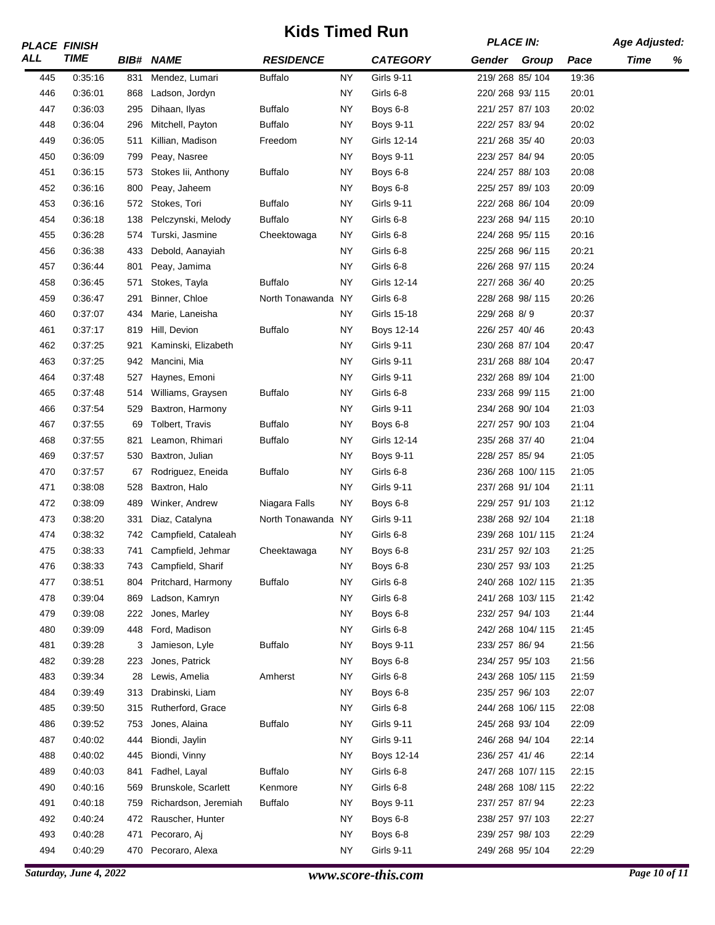|     | <b>PLACE FINISH</b> |     |                       | וועס וווווכט ולטוו |           |                   | <b>PLACE IN:</b> |                 |       | <b>Age Adjusted:</b> |   |
|-----|---------------------|-----|-----------------------|--------------------|-----------|-------------------|------------------|-----------------|-------|----------------------|---|
| ALL | <b>TIME</b>         |     | <b>BIB# NAME</b>      | <b>RESIDENCE</b>   |           | <b>CATEGORY</b>   | Gender Group     |                 | Pace  | <b>Time</b>          | % |
| 445 | 0.35.16             | 831 | Mendez, Lumari        | <b>Buffalo</b>     | ΝY        | Girls 9-11        | 219/268 85/104   |                 | 19:36 |                      |   |
| 446 | 0:36:01             | 868 | Ladson, Jordyn        |                    | <b>NY</b> | Girls 6-8         | 220/268 93/115   |                 | 20:01 |                      |   |
| 447 | 0:36:03             | 295 | Dihaan, Ilyas         | <b>Buffalo</b>     | ΝY        | Boys 6-8          | 221/257 87/103   |                 | 20:02 |                      |   |
| 448 | 0:36:04             | 296 | Mitchell, Payton      | <b>Buffalo</b>     | <b>NY</b> | Boys 9-11         | 222/257 83/94    |                 | 20:02 |                      |   |
| 449 | 0:36:05             | 511 | Killian, Madison      | Freedom            | <b>NY</b> | Girls 12-14       | 221/268 35/40    |                 | 20:03 |                      |   |
| 450 | 0:36:09             | 799 | Peay, Nasree          |                    | ΝY        | <b>Boys 9-11</b>  | 223/257 84/94    |                 | 20:05 |                      |   |
| 451 | 0:36:15             | 573 | Stokes lii, Anthony   | Buffalo            | <b>NY</b> | Boys 6-8          | 224/257 88/103   |                 | 20:08 |                      |   |
| 452 | 0:36:16             | 800 | Peay, Jaheem          |                    | <b>NY</b> | Boys 6-8          | 225/257 89/103   |                 | 20:09 |                      |   |
| 453 | 0:36:16             | 572 | Stokes, Tori          | <b>Buffalo</b>     | <b>NY</b> | <b>Girls 9-11</b> | 222/268 86/104   |                 | 20:09 |                      |   |
| 454 | 0:36:18             | 138 | Pelczynski, Melody    | <b>Buffalo</b>     | ΝY        | Girls 6-8         | 223/268 94/115   |                 | 20:10 |                      |   |
| 455 | 0:36:28             | 574 | Turski, Jasmine       | Cheektowaga        | ΝY        | Girls 6-8         | 224/268 95/115   |                 | 20:16 |                      |   |
| 456 | 0:36:38             | 433 | Debold, Aanayiah      |                    | ΝY        | Girls 6-8         | 225/268 96/115   |                 | 20:21 |                      |   |
| 457 | 0:36:44             | 801 | Peay, Jamima          |                    | NY        | Girls 6-8         | 226/268 97/115   |                 | 20:24 |                      |   |
| 458 | 0:36:45             | 571 | Stokes, Tayla         | <b>Buffalo</b>     | <b>NY</b> | Girls 12-14       | 227/268 36/40    |                 | 20:25 |                      |   |
| 459 | 0:36:47             | 291 | Binner, Chloe         | North Tonawanda NY |           | Girls 6-8         | 228/268 98/115   |                 | 20:26 |                      |   |
| 460 | 0:37:07             | 434 | Marie, Laneisha       |                    | <b>NY</b> | Girls 15-18       | 229/268 8/9      |                 | 20:37 |                      |   |
| 461 | 0.37:17             | 819 | Hill, Devion          | <b>Buffalo</b>     | <b>NY</b> | Boys 12-14        | 226/257 40/46    |                 | 20:43 |                      |   |
| 462 | 0.37:25             | 921 | Kaminski, Elizabeth   |                    | <b>NY</b> | <b>Girls 9-11</b> | 230/268 87/104   |                 | 20:47 |                      |   |
| 463 | 0:37:25             | 942 | Mancini, Mia          |                    | ΝY        | Girls 9-11        | 231/268 88/104   |                 | 20:47 |                      |   |
| 464 | 0:37:48             | 527 | Haynes, Emoni         |                    | ΝY        | Girls 9-11        | 232/268 89/104   |                 | 21:00 |                      |   |
| 465 | 0:37:48             |     | 514 Williams, Graysen | <b>Buffalo</b>     | <b>NY</b> | Girls 6-8         | 233/268 99/115   |                 | 21:00 |                      |   |
| 466 | 0:37:54             | 529 | Baxtron, Harmony      |                    | ΝY        | Girls 9-11        | 234/268 90/104   |                 | 21:03 |                      |   |
| 467 | 0:37:55             | 69  | Tolbert, Travis       | <b>Buffalo</b>     | <b>NY</b> | Boys 6-8          | 227/257 90/103   |                 | 21:04 |                      |   |
| 468 | 0:37:55             | 821 | Leamon, Rhimari       | <b>Buffalo</b>     | <b>NY</b> | Girls 12-14       | 235/268 37/40    |                 | 21:04 |                      |   |
| 469 | 0.37:57             | 530 | Baxtron, Julian       |                    | <b>NY</b> | <b>Boys 9-11</b>  | 228/257 85/94    |                 | 21:05 |                      |   |
| 470 | 0.37:57             | 67  | Rodriguez, Eneida     | <b>Buffalo</b>     | <b>NY</b> | Girls 6-8         |                  | 236/268 100/115 | 21:05 |                      |   |
| 471 | 0:38:08             | 528 | Baxtron, Halo         |                    | <b>NY</b> | Girls 9-11        | 237/268 91/104   |                 | 21:11 |                      |   |
| 472 | 0:38:09             | 489 | Winker, Andrew        | Niagara Falls      | ΝY        | Boys 6-8          | 229/257 91/103   |                 | 21:12 |                      |   |
| 473 | 0:38:20             | 331 | Diaz, Catalyna        | North Tonawanda NY |           | Girls 9-11        | 238/268 92/104   |                 | 21:18 |                      |   |
| 474 | 0:38:32             | 742 | Campfield, Cataleah   |                    | <b>NY</b> | Girls 6-8         |                  | 239/268 101/115 | 21:24 |                      |   |
| 475 | 0:38:33             | 741 | Campfield, Jehmar     | Cheektawaga        | ΝY        | Boys 6-8          | 231/257 92/103   |                 | 21:25 |                      |   |
| 476 | 0:38:33             | 743 | Campfield, Sharif     |                    | <b>NY</b> | Boys 6-8          | 230/257 93/103   |                 | 21:25 |                      |   |
| 477 | 0:38:51             | 804 | Pritchard, Harmony    | <b>Buffalo</b>     | NΥ        | Girls 6-8         |                  | 240/268 102/115 | 21:35 |                      |   |
| 478 | 0.39.04             | 869 | Ladson, Kamryn        |                    | <b>NY</b> | Girls 6-8         |                  | 241/268 103/115 | 21:42 |                      |   |
| 479 | 0:39:08             | 222 | Jones, Marley         |                    | NY        | Boys 6-8          | 232/257 94/103   |                 | 21:44 |                      |   |
| 480 | 0:39:09             | 448 | Ford, Madison         |                    | <b>NY</b> | Girls 6-8         |                  | 242/268 104/115 | 21:45 |                      |   |
| 481 | 0:39:28             | 3   | Jamieson, Lyle        | <b>Buffalo</b>     | <b>NY</b> | <b>Boys 9-11</b>  | 233/257 86/94    |                 | 21:56 |                      |   |
| 482 | 0:39:28             | 223 | Jones, Patrick        |                    | <b>NY</b> | Boys 6-8          | 234/257 95/103   |                 | 21:56 |                      |   |
| 483 | 0.39:34             | 28  | Lewis, Amelia         | Amherst            | <b>NY</b> | Girls 6-8         |                  | 243/268 105/115 | 21:59 |                      |   |
| 484 | 0:39:49             | 313 | Drabinski, Liam       |                    | <b>NY</b> | Boys 6-8          | 235/257 96/103   |                 | 22:07 |                      |   |
| 485 | 0:39:50             | 315 | Rutherford, Grace     |                    | <b>NY</b> | Girls 6-8         |                  | 244/268 106/115 | 22:08 |                      |   |
| 486 | 0:39:52             | 753 | Jones, Alaina         | <b>Buffalo</b>     | <b>NY</b> | Girls 9-11        | 245/268 93/104   |                 | 22:09 |                      |   |
| 487 | 0:40:02             | 444 | Biondi, Jaylin        |                    | NY        | Girls 9-11        | 246/268 94/104   |                 | 22:14 |                      |   |
| 488 | 0:40:02             | 445 | Biondi, Vinny         |                    | <b>NY</b> | Boys 12-14        | 236/257 41/46    |                 | 22:14 |                      |   |
| 489 | 0:40:03             | 841 | Fadhel, Layal         | Buffalo            | <b>NY</b> | Girls 6-8         |                  | 247/268 107/115 | 22:15 |                      |   |
| 490 | 0:40:16             | 569 | Brunskole, Scarlett   | Kenmore            | ΝY        | Girls 6-8         |                  | 248/268 108/115 | 22:22 |                      |   |
| 491 | 0:40:18             | 759 | Richardson, Jeremiah  | Buffalo            | NY        | <b>Boys 9-11</b>  | 237/257 87/94    |                 | 22:23 |                      |   |
| 492 | 0:40:24             | 472 | Rauscher, Hunter      |                    | <b>NY</b> | Boys 6-8          | 238/257 97/103   |                 | 22:27 |                      |   |
| 493 | 0:40:28             | 471 | Pecoraro, Aj          |                    | <b>NY</b> | Boys 6-8          | 239/257 98/103   |                 | 22:29 |                      |   |
| 494 | 0:40:29             | 470 | Pecoraro, Alexa       |                    | <b>NY</b> | Girls 9-11        | 249/268 95/104   |                 | 22:29 |                      |   |